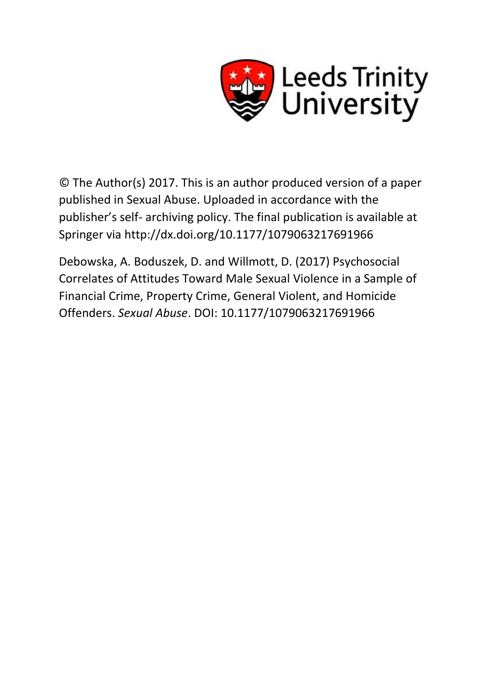

© The Author(s) 2017. This is an author produced version of a paper published in Sexual Abuse. Uploaded in accordance with the publisher's self- archiving policy. The final publication is available at Springer via http://dx.doi.org/10.1177/1079063217691966

Debowska, A. Boduszek, D. and Willmott, D. (2017) Psychosocial Correlates of Attitudes Toward Male Sexual Violence in a Sample of Financial Crime, Property Crime, General Violent, and Homicide Offenders. *Sexual Abuse*. DOI: 10.1177/1079063217691966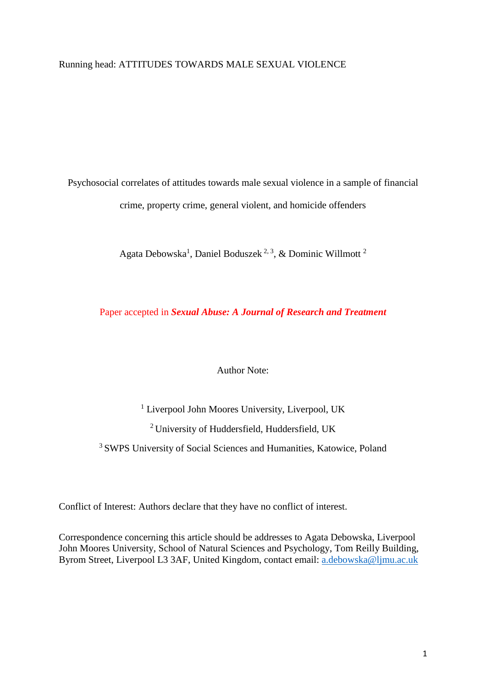# Running head: ATTITUDES TOWARDS MALE SEXUAL VIOLENCE

Psychosocial correlates of attitudes towards male sexual violence in a sample of financial crime, property crime, general violent, and homicide offenders

Agata Debowska<sup>1</sup>, Daniel Boduszek<sup>2, 3</sup>, & Dominic Willmott<sup>2</sup>

Paper accepted in *Sexual Abuse: A Journal of Research and Treatment*

Author Note:

<sup>1</sup> Liverpool John Moores University, Liverpool, UK <sup>2</sup> University of Huddersfield, Huddersfield, UK <sup>3</sup> SWPS University of Social Sciences and Humanities, Katowice, Poland

Conflict of Interest: Authors declare that they have no conflict of interest.

Correspondence concerning this article should be addresses to Agata Debowska, Liverpool John Moores University, School of Natural Sciences and Psychology, Tom Reilly Building, Byrom Street, Liverpool L3 3AF, United Kingdom, contact email: [a.debowska@ljmu.ac.uk](mailto:a.debowska@ljmu.ac.uk)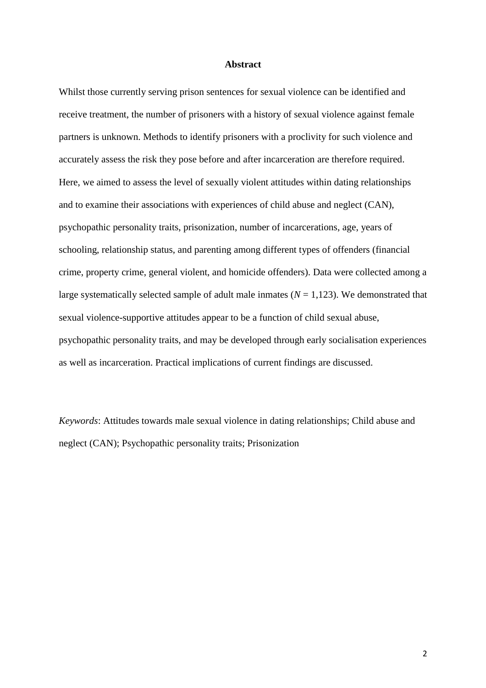#### **Abstract**

Whilst those currently serving prison sentences for sexual violence can be identified and receive treatment, the number of prisoners with a history of sexual violence against female partners is unknown. Methods to identify prisoners with a proclivity for such violence and accurately assess the risk they pose before and after incarceration are therefore required. Here, we aimed to assess the level of sexually violent attitudes within dating relationships and to examine their associations with experiences of child abuse and neglect (CAN), psychopathic personality traits, prisonization, number of incarcerations, age, years of schooling, relationship status, and parenting among different types of offenders (financial crime, property crime, general violent, and homicide offenders). Data were collected among a large systematically selected sample of adult male inmates  $(N = 1,123)$ . We demonstrated that sexual violence-supportive attitudes appear to be a function of child sexual abuse, psychopathic personality traits, and may be developed through early socialisation experiences as well as incarceration. Practical implications of current findings are discussed.

*Keywords*: Attitudes towards male sexual violence in dating relationships; Child abuse and neglect (CAN); Psychopathic personality traits; Prisonization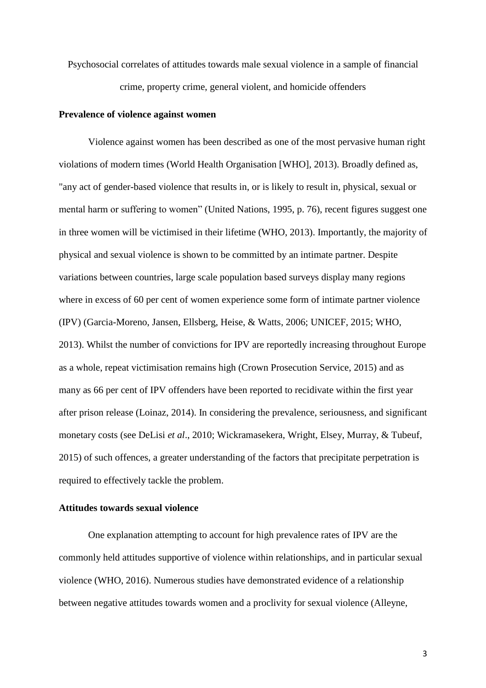Psychosocial correlates of attitudes towards male sexual violence in a sample of financial crime, property crime, general violent, and homicide offenders

#### **Prevalence of violence against women**

Violence against women has been described as one of the most pervasive human right violations of modern times (World Health Organisation [WHO], 2013). Broadly defined as, "any act of gender-based violence that results in, or is likely to result in, physical, sexual or mental harm or suffering to women" (United Nations, 1995, p. 76), recent figures suggest one in three women will be victimised in their lifetime (WHO, 2013). Importantly, the majority of physical and sexual violence is shown to be committed by an intimate partner. Despite variations between countries, large scale population based surveys display many regions where in excess of 60 per cent of women experience some form of intimate partner violence (IPV) (Garcia-Moreno, Jansen, Ellsberg, Heise, & Watts, 2006; UNICEF, 2015; WHO, 2013). Whilst the number of convictions for IPV are reportedly increasing throughout Europe as a whole, repeat victimisation remains high (Crown Prosecution Service, 2015) and as many as 66 per cent of IPV offenders have been reported to recidivate within the first year after prison release (Loinaz, 2014). In considering the prevalence, seriousness, and significant monetary costs (see DeLisi *et al*., 2010; Wickramasekera, Wright, Elsey, Murray, & Tubeuf, 2015) of such offences, a greater understanding of the factors that precipitate perpetration is required to effectively tackle the problem.

# **Attitudes towards sexual violence**

One explanation attempting to account for high prevalence rates of IPV are the commonly held attitudes supportive of violence within relationships, and in particular sexual violence (WHO, 2016). Numerous studies have demonstrated evidence of a relationship between negative attitudes towards women and a proclivity for sexual violence (Alleyne,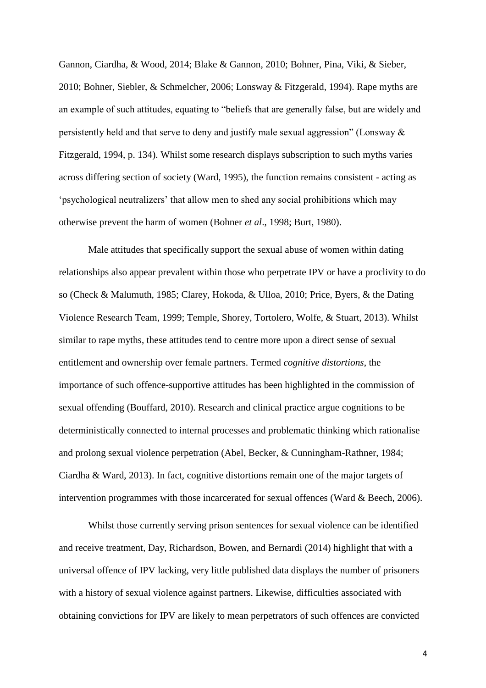Gannon, Ciardha, & Wood, 2014; Blake & Gannon, 2010; Bohner, Pina, Viki, & Sieber, 2010; Bohner, Siebler, & Schmelcher, 2006; Lonsway & Fitzgerald, 1994). Rape myths are an example of such attitudes, equating to "beliefs that are generally false, but are widely and persistently held and that serve to deny and justify male sexual aggression" (Lonsway & Fitzgerald, 1994, p. 134). Whilst some research displays subscription to such myths varies across differing section of society (Ward, 1995), the function remains consistent - acting as 'psychological neutralizers' that allow men to shed any social prohibitions which may otherwise prevent the harm of women (Bohner *et al*., 1998; Burt, 1980).

Male attitudes that specifically support the sexual abuse of women within dating relationships also appear prevalent within those who perpetrate IPV or have a proclivity to do so (Check & Malumuth, 1985; Clarey, Hokoda, & Ulloa, 2010; Price, Byers, & the Dating Violence Research Team, 1999; Temple, Shorey, Tortolero, Wolfe, & Stuart, 2013). Whilst similar to rape myths, these attitudes tend to centre more upon a direct sense of sexual entitlement and ownership over female partners. Termed *cognitive distortions*, the importance of such offence-supportive attitudes has been highlighted in the commission of sexual offending (Bouffard, 2010). Research and clinical practice argue cognitions to be deterministically connected to internal processes and problematic thinking which rationalise and prolong sexual violence perpetration (Abel, Becker, & Cunningham-Rathner, 1984; Ciardha & Ward, 2013). In fact, cognitive distortions remain one of the major targets of intervention programmes with those incarcerated for sexual offences (Ward & Beech, 2006).

Whilst those currently serving prison sentences for sexual violence can be identified and receive treatment, Day, Richardson, Bowen, and Bernardi (2014) highlight that with a universal offence of IPV lacking, very little published data displays the number of prisoners with a history of sexual violence against partners. Likewise, difficulties associated with obtaining convictions for IPV are likely to mean perpetrators of such offences are convicted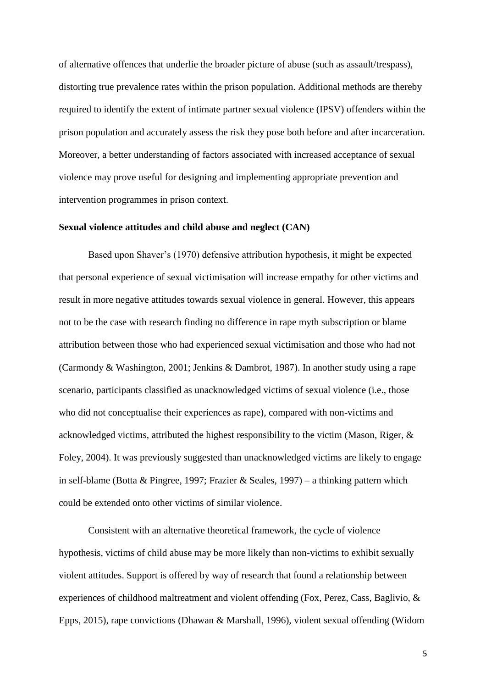of alternative offences that underlie the broader picture of abuse (such as assault/trespass), distorting true prevalence rates within the prison population. Additional methods are thereby required to identify the extent of intimate partner sexual violence (IPSV) offenders within the prison population and accurately assess the risk they pose both before and after incarceration. Moreover, a better understanding of factors associated with increased acceptance of sexual violence may prove useful for designing and implementing appropriate prevention and intervention programmes in prison context.

#### **Sexual violence attitudes and child abuse and neglect (CAN)**

Based upon Shaver's (1970) defensive attribution hypothesis, it might be expected that personal experience of sexual victimisation will increase empathy for other victims and result in more negative attitudes towards sexual violence in general. However, this appears not to be the case with research finding no difference in rape myth subscription or blame attribution between those who had experienced sexual victimisation and those who had not (Carmondy & Washington, 2001; Jenkins & Dambrot, 1987). In another study using a rape scenario, participants classified as unacknowledged victims of sexual violence (i.e., those who did not conceptualise their experiences as rape), compared with non-victims and acknowledged victims, attributed the highest responsibility to the victim (Mason, Riger, & Foley, 2004). It was previously suggested than unacknowledged victims are likely to engage in self-blame (Botta & Pingree, 1997; Frazier & Seales, 1997) – a thinking pattern which could be extended onto other victims of similar violence.

Consistent with an alternative theoretical framework, the cycle of violence hypothesis, victims of child abuse may be more likely than non-victims to exhibit sexually violent attitudes. Support is offered by way of research that found a relationship between experiences of childhood maltreatment and violent offending (Fox, Perez, Cass, Baglivio, & Epps, 2015), rape convictions (Dhawan & Marshall, 1996), violent sexual offending (Widom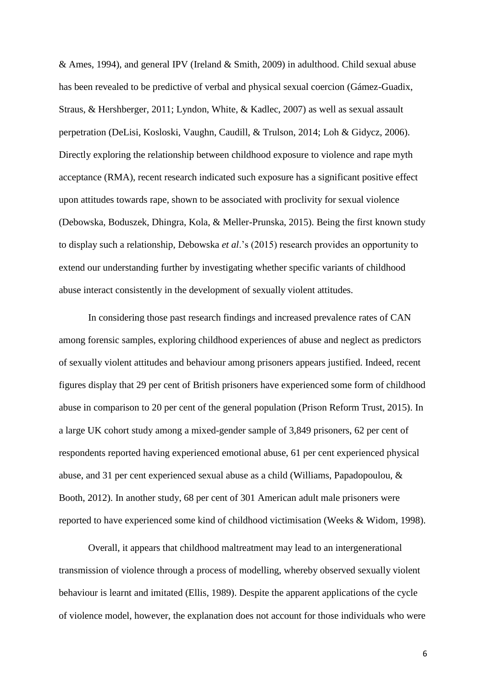& Ames, 1994), and general IPV (Ireland & Smith, 2009) in adulthood. Child sexual abuse has been revealed to be predictive of verbal and physical sexual coercion (Gámez-Guadix, Straus, & Hershberger, 2011; Lyndon, White, & Kadlec, 2007) as well as sexual assault perpetration (DeLisi, Kosloski, Vaughn, Caudill, & Trulson, 2014; Loh & Gidycz, 2006). Directly exploring the relationship between childhood exposure to violence and rape myth acceptance (RMA), recent research indicated such exposure has a significant positive effect upon attitudes towards rape, shown to be associated with proclivity for sexual violence (Debowska, Boduszek, Dhingra, Kola, & Meller-Prunska, 2015). Being the first known study to display such a relationship, Debowska *et al*.'s (2015) research provides an opportunity to extend our understanding further by investigating whether specific variants of childhood abuse interact consistently in the development of sexually violent attitudes.

In considering those past research findings and increased prevalence rates of CAN among forensic samples, exploring childhood experiences of abuse and neglect as predictors of sexually violent attitudes and behaviour among prisoners appears justified. Indeed, recent figures display that 29 per cent of British prisoners have experienced some form of childhood abuse in comparison to 20 per cent of the general population (Prison Reform Trust, 2015). In a large UK cohort study among a mixed-gender sample of 3,849 prisoners, 62 per cent of respondents reported having experienced emotional abuse, 61 per cent experienced physical abuse, and 31 per cent experienced sexual abuse as a child (Williams, Papadopoulou, & Booth, 2012). In another study, 68 per cent of 301 American adult male prisoners were reported to have experienced some kind of childhood victimisation (Weeks & Widom, 1998).

Overall, it appears that childhood maltreatment may lead to an intergenerational transmission of violence through a process of modelling, whereby observed sexually violent behaviour is learnt and imitated (Ellis, 1989). Despite the apparent applications of the cycle of violence model, however, the explanation does not account for those individuals who were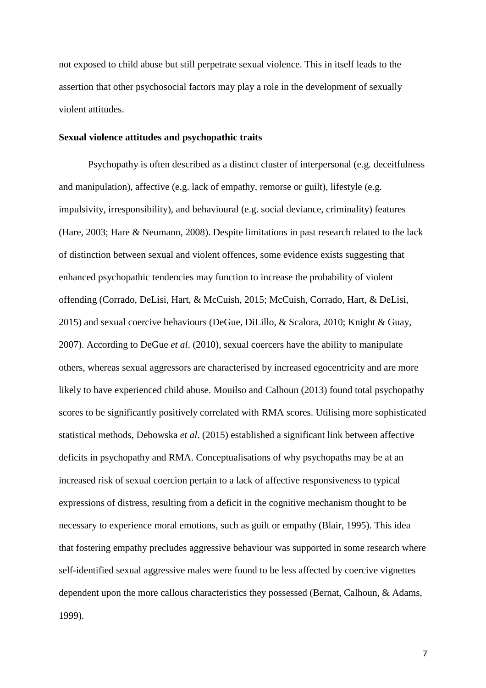not exposed to child abuse but still perpetrate sexual violence. This in itself leads to the assertion that other psychosocial factors may play a role in the development of sexually violent attitudes.

#### **Sexual violence attitudes and psychopathic traits**

Psychopathy is often described as a distinct cluster of interpersonal (e.g. deceitfulness and manipulation), affective (e.g. lack of empathy, remorse or guilt), lifestyle (e.g. impulsivity, irresponsibility), and behavioural (e.g. social deviance, criminality) features (Hare, 2003; Hare & Neumann, 2008). Despite limitations in past research related to the lack of distinction between sexual and violent offences, some evidence exists suggesting that enhanced psychopathic tendencies may function to increase the probability of violent offending (Corrado, DeLisi, Hart, & McCuish, 2015; McCuish, Corrado, Hart, & DeLisi, 2015) and sexual coercive behaviours (DeGue, DiLillo, & Scalora, 2010; Knight & Guay, 2007). According to DeGue *et al*. (2010), sexual coercers have the ability to manipulate others, whereas sexual aggressors are characterised by increased egocentricity and are more likely to have experienced child abuse. Mouilso and Calhoun (2013) found total psychopathy scores to be significantly positively correlated with RMA scores. Utilising more sophisticated statistical methods, Debowska *et al*. (2015) established a significant link between affective deficits in psychopathy and RMA. Conceptualisations of why psychopaths may be at an increased risk of sexual coercion pertain to a lack of affective responsiveness to typical expressions of distress, resulting from a deficit in the cognitive mechanism thought to be necessary to experience moral emotions, such as guilt or empathy (Blair, 1995). This idea that fostering empathy precludes aggressive behaviour was supported in some research where self-identified sexual aggressive males were found to be less affected by coercive vignettes dependent upon the more callous characteristics they possessed (Bernat, Calhoun, & Adams, 1999).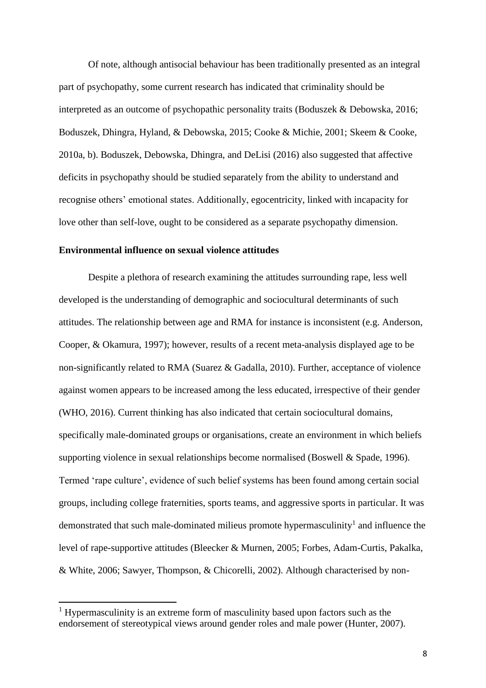Of note, although antisocial behaviour has been traditionally presented as an integral part of psychopathy, some current research has indicated that criminality should be interpreted as an outcome of psychopathic personality traits (Boduszek & Debowska, 2016; Boduszek, Dhingra, Hyland, & Debowska, 2015; Cooke & Michie, 2001; Skeem & Cooke, 2010a, b). Boduszek, Debowska, Dhingra, and DeLisi (2016) also suggested that affective deficits in psychopathy should be studied separately from the ability to understand and recognise others' emotional states. Additionally, egocentricity, linked with incapacity for love other than self-love, ought to be considered as a separate psychopathy dimension.

# **Environmental influence on sexual violence attitudes**

Despite a plethora of research examining the attitudes surrounding rape, less well developed is the understanding of demographic and sociocultural determinants of such attitudes. The relationship between age and RMA for instance is inconsistent (e.g. Anderson, Cooper, & Okamura, 1997); however, results of a recent meta-analysis displayed age to be non-significantly related to RMA (Suarez & Gadalla, 2010). Further, acceptance of violence against women appears to be increased among the less educated, irrespective of their gender (WHO, 2016). Current thinking has also indicated that certain sociocultural domains, specifically male-dominated groups or organisations, create an environment in which beliefs supporting violence in sexual relationships become normalised (Boswell & Spade, 1996). Termed 'rape culture', evidence of such belief systems has been found among certain social groups, including college fraternities, sports teams, and aggressive sports in particular. It was demonstrated that such male-dominated milieus promote hypermasculinity<sup>1</sup> and influence the level of rape-supportive attitudes (Bleecker & Murnen, 2005; Forbes, Adam-Curtis, Pakalka, & White, 2006; Sawyer, Thompson, & Chicorelli, 2002). Although characterised by non-

 $\overline{\phantom{a}}$ 

<sup>&</sup>lt;sup>1</sup> Hypermasculinity is an extreme form of masculinity based upon factors such as the endorsement of stereotypical views around gender roles and male power (Hunter, 2007).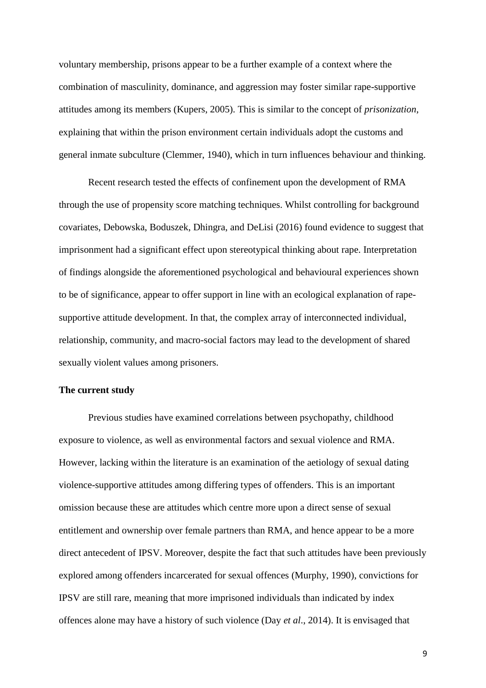voluntary membership, prisons appear to be a further example of a context where the combination of masculinity, dominance, and aggression may foster similar rape-supportive attitudes among its members (Kupers, 2005). This is similar to the concept of *prisonization*, explaining that within the prison environment certain individuals adopt the customs and general inmate subculture (Clemmer, 1940), which in turn influences behaviour and thinking.

Recent research tested the effects of confinement upon the development of RMA through the use of propensity score matching techniques. Whilst controlling for background covariates, Debowska, Boduszek, Dhingra, and DeLisi (2016) found evidence to suggest that imprisonment had a significant effect upon stereotypical thinking about rape. Interpretation of findings alongside the aforementioned psychological and behavioural experiences shown to be of significance, appear to offer support in line with an ecological explanation of rapesupportive attitude development. In that, the complex array of interconnected individual, relationship, community, and macro-social factors may lead to the development of shared sexually violent values among prisoners.

#### **The current study**

Previous studies have examined correlations between psychopathy, childhood exposure to violence, as well as environmental factors and sexual violence and RMA. However, lacking within the literature is an examination of the aetiology of sexual dating violence-supportive attitudes among differing types of offenders. This is an important omission because these are attitudes which centre more upon a direct sense of sexual entitlement and ownership over female partners than RMA, and hence appear to be a more direct antecedent of IPSV. Moreover, despite the fact that such attitudes have been previously explored among offenders incarcerated for sexual offences (Murphy, 1990), convictions for IPSV are still rare, meaning that more imprisoned individuals than indicated by index offences alone may have a history of such violence (Day *et al*., 2014). It is envisaged that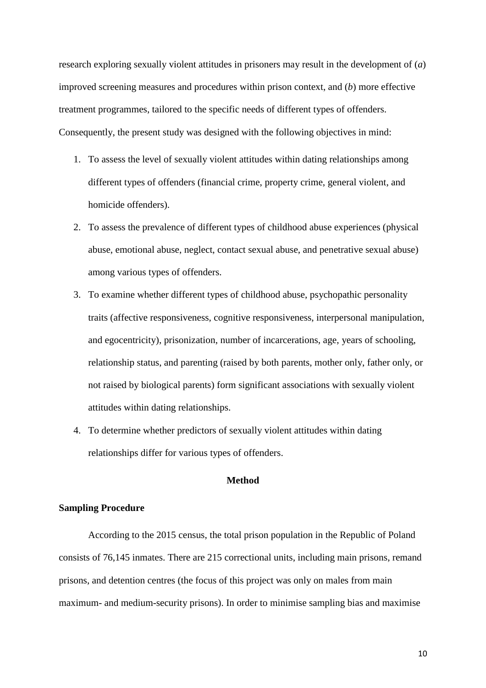research exploring sexually violent attitudes in prisoners may result in the development of (*a*) improved screening measures and procedures within prison context, and (*b*) more effective treatment programmes, tailored to the specific needs of different types of offenders. Consequently, the present study was designed with the following objectives in mind:

- 1. To assess the level of sexually violent attitudes within dating relationships among different types of offenders (financial crime, property crime, general violent, and homicide offenders).
- 2. To assess the prevalence of different types of childhood abuse experiences (physical abuse, emotional abuse, neglect, contact sexual abuse, and penetrative sexual abuse) among various types of offenders.
- 3. To examine whether different types of childhood abuse, psychopathic personality traits (affective responsiveness, cognitive responsiveness, interpersonal manipulation, and egocentricity), prisonization, number of incarcerations, age, years of schooling, relationship status, and parenting (raised by both parents, mother only, father only, or not raised by biological parents) form significant associations with sexually violent attitudes within dating relationships.
- 4. To determine whether predictors of sexually violent attitudes within dating relationships differ for various types of offenders.

# **Method**

## **Sampling Procedure**

According to the 2015 census, the total prison population in the Republic of Poland consists of 76,145 inmates. There are 215 correctional units, including main prisons, remand prisons, and detention centres (the focus of this project was only on males from main maximum- and medium-security prisons). In order to minimise sampling bias and maximise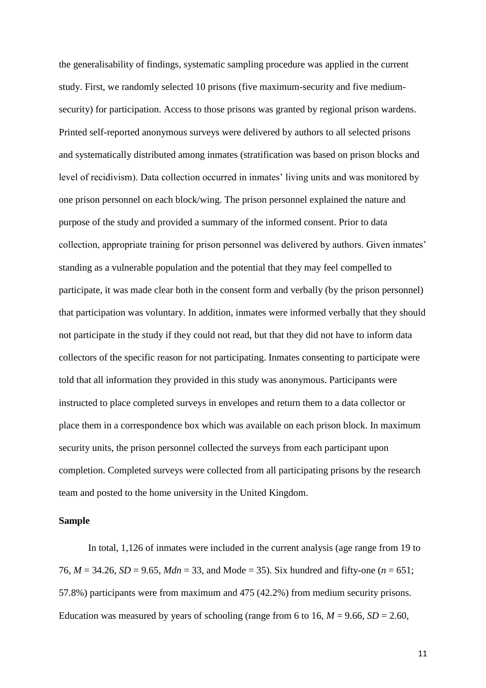the generalisability of findings, systematic sampling procedure was applied in the current study. First, we randomly selected 10 prisons (five maximum-security and five mediumsecurity) for participation. Access to those prisons was granted by regional prison wardens. Printed self-reported anonymous surveys were delivered by authors to all selected prisons and systematically distributed among inmates (stratification was based on prison blocks and level of recidivism). Data collection occurred in inmates' living units and was monitored by one prison personnel on each block/wing. The prison personnel explained the nature and purpose of the study and provided a summary of the informed consent. Prior to data collection, appropriate training for prison personnel was delivered by authors. Given inmates' standing as a vulnerable population and the potential that they may feel compelled to participate, it was made clear both in the consent form and verbally (by the prison personnel) that participation was voluntary. In addition, inmates were informed verbally that they should not participate in the study if they could not read, but that they did not have to inform data collectors of the specific reason for not participating. Inmates consenting to participate were told that all information they provided in this study was anonymous. Participants were instructed to place completed surveys in envelopes and return them to a data collector or place them in a correspondence box which was available on each prison block. In maximum security units, the prison personnel collected the surveys from each participant upon completion. Completed surveys were collected from all participating prisons by the research team and posted to the home university in the United Kingdom.

#### **Sample**

In total, 1,126 of inmates were included in the current analysis (age range from 19 to 76, *M* = 34.26, *SD* = 9.65, *Mdn* = 33, and Mode = 35). Six hundred and fifty-one (*n* = 651; 57.8%) participants were from maximum and 475 (42.2%) from medium security prisons. Education was measured by years of schooling (range from 6 to 16,  $M = 9.66$ ,  $SD = 2.60$ ,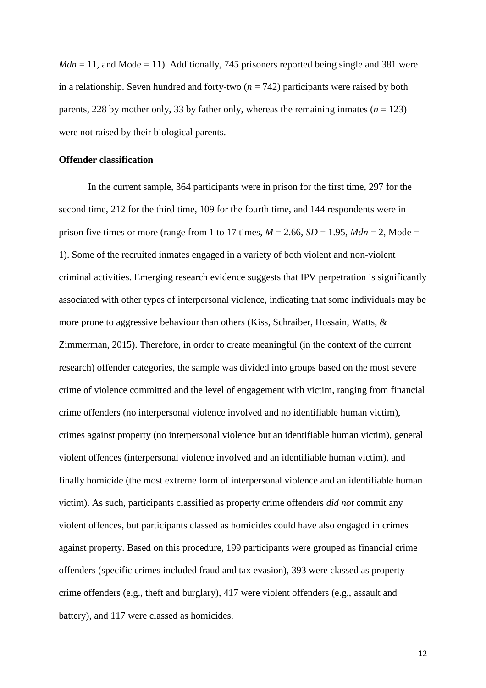$Mdn = 11$ , and Mode = 11). Additionally, 745 prisoners reported being single and 381 were in a relationship. Seven hundred and forty-two  $(n = 742)$  participants were raised by both parents, 228 by mother only, 33 by father only, whereas the remaining inmates  $(n = 123)$ were not raised by their biological parents.

#### **Offender classification**

In the current sample, 364 participants were in prison for the first time, 297 for the second time, 212 for the third time, 109 for the fourth time, and 144 respondents were in prison five times or more (range from 1 to 17 times,  $M = 2.66$ ,  $SD = 1.95$ ,  $Mdn = 2$ , Mode = 1). Some of the recruited inmates engaged in a variety of both violent and non-violent criminal activities. Emerging research evidence suggests that IPV perpetration is significantly associated with other types of interpersonal violence, indicating that some individuals may be more prone to aggressive behaviour than others (Kiss, Schraiber, Hossain, Watts, & Zimmerman, 2015). Therefore, in order to create meaningful (in the context of the current research) offender categories, the sample was divided into groups based on the most severe crime of violence committed and the level of engagement with victim, ranging from financial crime offenders (no interpersonal violence involved and no identifiable human victim), crimes against property (no interpersonal violence but an identifiable human victim), general violent offences (interpersonal violence involved and an identifiable human victim), and finally homicide (the most extreme form of interpersonal violence and an identifiable human victim). As such, participants classified as property crime offenders *did not* commit any violent offences, but participants classed as homicides could have also engaged in crimes against property. Based on this procedure, 199 participants were grouped as financial crime offenders (specific crimes included fraud and tax evasion), 393 were classed as property crime offenders (e.g., theft and burglary), 417 were violent offenders (e.g., assault and battery), and 117 were classed as homicides.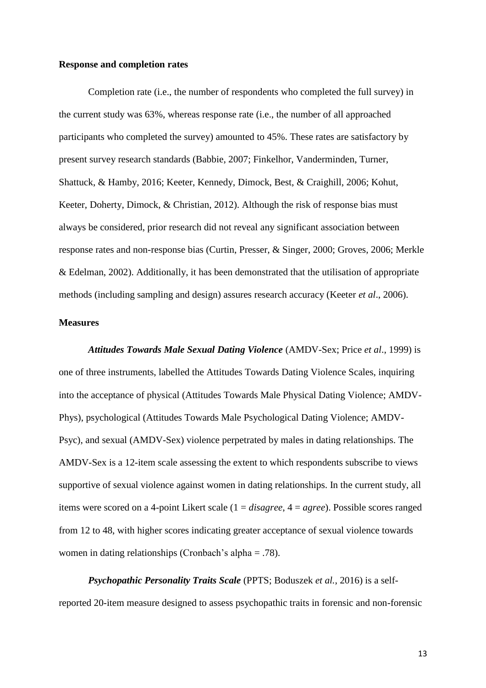#### **Response and completion rates**

Completion rate (i.e., the number of respondents who completed the full survey) in the current study was 63%, whereas response rate (i.e., the number of all approached participants who completed the survey) amounted to 45%. These rates are satisfactory by present survey research standards (Babbie, 2007; Finkelhor, Vanderminden, Turner, Shattuck, & Hamby, 2016; Keeter, Kennedy, Dimock, Best, & Craighill, 2006; Kohut, Keeter, Doherty, Dimock, & Christian, 2012). Although the risk of response bias must always be considered, prior research did not reveal any significant association between response rates and non-response bias (Curtin, Presser, & Singer, 2000; Groves, 2006; Merkle & Edelman, 2002). Additionally, it has been demonstrated that the utilisation of appropriate methods (including sampling and design) assures research accuracy (Keeter *et al*., 2006).

## **Measures**

*Attitudes Towards Male Sexual Dating Violence* (AMDV-Sex; Price *et al*., 1999) is one of three instruments, labelled the Attitudes Towards Dating Violence Scales, inquiring into the acceptance of physical (Attitudes Towards Male Physical Dating Violence; AMDV-Phys), psychological (Attitudes Towards Male Psychological Dating Violence; AMDV-Psyc), and sexual (AMDV-Sex) violence perpetrated by males in dating relationships. The AMDV-Sex is a 12-item scale assessing the extent to which respondents subscribe to views supportive of sexual violence against women in dating relationships. In the current study, all items were scored on a 4-point Likert scale (1 = *disagree*, 4 = *agree*). Possible scores ranged from 12 to 48, with higher scores indicating greater acceptance of sexual violence towards women in dating relationships (Cronbach's alpha = .78).

*Psychopathic Personality Traits Scale* (PPTS; Boduszek *et al.*, 2016) is a selfreported 20-item measure designed to assess psychopathic traits in forensic and non-forensic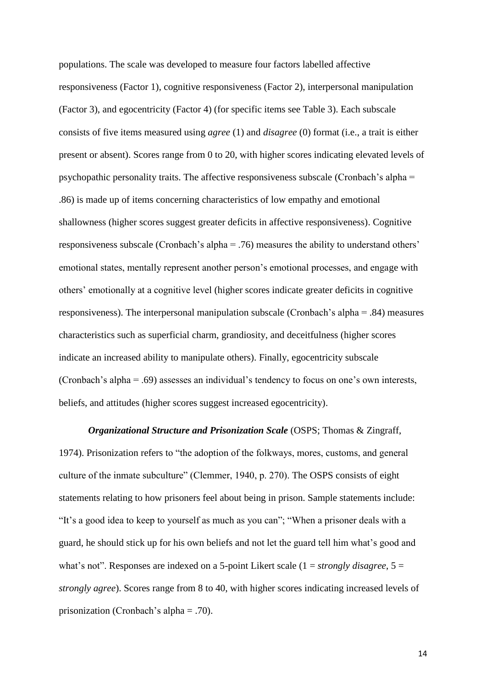populations. The scale was developed to measure four factors labelled affective responsiveness (Factor 1), cognitive responsiveness (Factor 2), interpersonal manipulation (Factor 3), and egocentricity (Factor 4) (for specific items see Table 3). Each subscale consists of five items measured using *agree* (1) and *disagree* (0) format (i.e., a trait is either present or absent). Scores range from 0 to 20, with higher scores indicating elevated levels of psychopathic personality traits. The affective responsiveness subscale (Cronbach's alpha = .86) is made up of items concerning characteristics of low empathy and emotional shallowness (higher scores suggest greater deficits in affective responsiveness). Cognitive responsiveness subscale (Cronbach's alpha = .76) measures the ability to understand others' emotional states, mentally represent another person's emotional processes, and engage with others' emotionally at a cognitive level (higher scores indicate greater deficits in cognitive responsiveness). The interpersonal manipulation subscale (Cronbach's alpha = .84) measures characteristics such as superficial charm, grandiosity, and deceitfulness (higher scores indicate an increased ability to manipulate others). Finally, egocentricity subscale (Cronbach's alpha = .69) assesses an individual's tendency to focus on one's own interests, beliefs, and attitudes (higher scores suggest increased egocentricity).

*Organizational Structure and Prisonization Scale* (OSPS; Thomas & Zingraff, 1974). Prisonization refers to "the adoption of the folkways, mores, customs, and general culture of the inmate subculture" (Clemmer, 1940, p. 270). The OSPS consists of eight statements relating to how prisoners feel about being in prison. Sample statements include: "It's a good idea to keep to yourself as much as you can"; "When a prisoner deals with a guard, he should stick up for his own beliefs and not let the guard tell him what's good and what's not". Responses are indexed on a 5-point Likert scale (1 = *strongly disagree*, 5 = *strongly agree*). Scores range from 8 to 40, with higher scores indicating increased levels of prisonization (Cronbach's alpha = .70).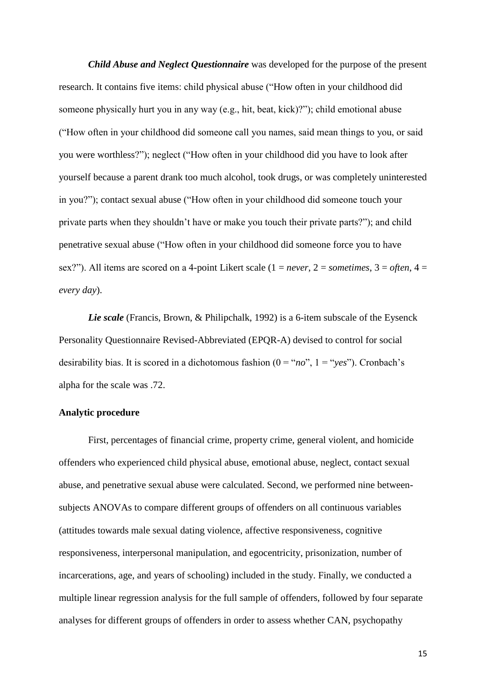*Child Abuse and Neglect Questionnaire* was developed for the purpose of the present research. It contains five items: child physical abuse ("How often in your childhood did someone physically hurt you in any way (e.g., hit, beat, kick)?"); child emotional abuse ("How often in your childhood did someone call you names, said mean things to you, or said you were worthless?"); neglect ("How often in your childhood did you have to look after yourself because a parent drank too much alcohol, took drugs, or was completely uninterested in you?"); contact sexual abuse ("How often in your childhood did someone touch your private parts when they shouldn't have or make you touch their private parts?"); and child penetrative sexual abuse ("How often in your childhood did someone force you to have sex?"). All items are scored on a 4-point Likert scale (1 = *never*, 2 = *sometimes*, 3 = *often*, 4 = *every day*).

*Lie scale* (Francis, Brown, & Philipchalk, 1992) is a 6-item subscale of the Eysenck Personality Questionnaire Revised-Abbreviated (EPQR-A) devised to control for social desirability bias. It is scored in a dichotomous fashion  $(0 = "no", 1 = "yes")$ . Cronbach's alpha for the scale was .72.

#### **Analytic procedure**

First, percentages of financial crime, property crime, general violent, and homicide offenders who experienced child physical abuse, emotional abuse, neglect, contact sexual abuse, and penetrative sexual abuse were calculated. Second, we performed nine betweensubjects ANOVAs to compare different groups of offenders on all continuous variables (attitudes towards male sexual dating violence, affective responsiveness, cognitive responsiveness, interpersonal manipulation, and egocentricity, prisonization, number of incarcerations, age, and years of schooling) included in the study. Finally, we conducted a multiple linear regression analysis for the full sample of offenders, followed by four separate analyses for different groups of offenders in order to assess whether CAN, psychopathy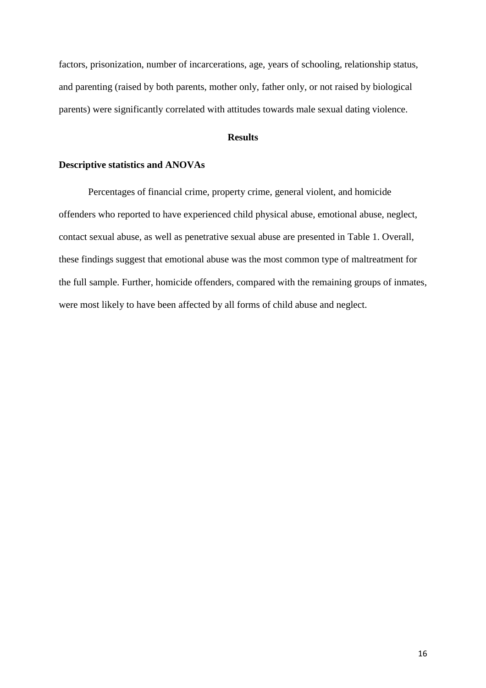factors, prisonization, number of incarcerations, age, years of schooling, relationship status, and parenting (raised by both parents, mother only, father only, or not raised by biological parents) were significantly correlated with attitudes towards male sexual dating violence.

#### **Results**

#### **Descriptive statistics and ANOVAs**

Percentages of financial crime, property crime, general violent, and homicide offenders who reported to have experienced child physical abuse, emotional abuse, neglect, contact sexual abuse, as well as penetrative sexual abuse are presented in Table 1. Overall, these findings suggest that emotional abuse was the most common type of maltreatment for the full sample. Further, homicide offenders, compared with the remaining groups of inmates, were most likely to have been affected by all forms of child abuse and neglect.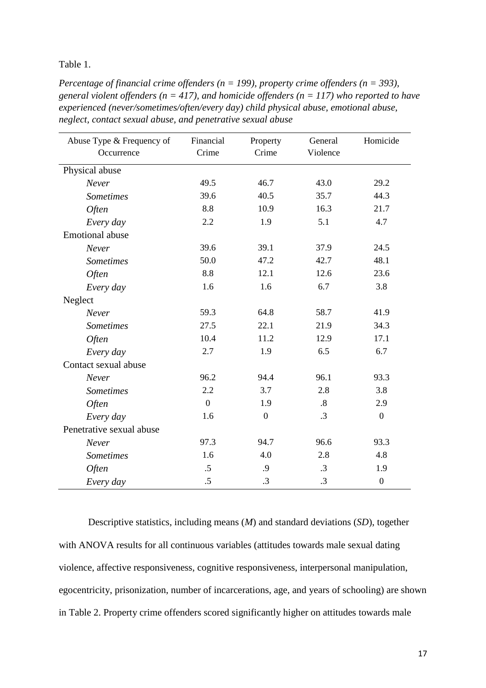Table 1.

*Percentage of financial crime offenders (n = 199), property crime offenders (n = 393), general violent offenders (n = 417), and homicide offenders (n = 117) who reported to have experienced (never/sometimes/often/every day) child physical abuse, emotional abuse, neglect, contact sexual abuse, and penetrative sexual abuse*

| Abuse Type & Frequency of | Financial      | Property         | General           | Homicide         |
|---------------------------|----------------|------------------|-------------------|------------------|
| Occurrence                | Crime          | Crime            | Violence          |                  |
| Physical abuse            |                |                  |                   |                  |
| Never                     | 49.5           | 46.7             | 43.0              | 29.2             |
| <b>Sometimes</b>          | 39.6           | 40.5             | 35.7              | 44.3             |
| Often                     | 8.8            | 10.9             | 16.3              | 21.7             |
| Every day                 | 2.2            | 1.9              |                   | 4.7              |
| <b>Emotional</b> abuse    |                |                  |                   |                  |
| Never                     | 39.6           | 39.1             | 37.9              | 24.5             |
| <b>Sometimes</b>          | 50.0           | 47.2             | 42.7              | 48.1             |
| Often                     | 8.8            | 12.1             | 12.6              | 23.6             |
| Every day                 | 1.6            | 1.6              | 6.7               | 3.8              |
| Neglect                   |                |                  |                   |                  |
| Never                     | 59.3           | 64.8             | 58.7              | 41.9             |
| <b>Sometimes</b>          | 27.5           | 22.1             | 21.9              | 34.3             |
| Often                     | 10.4           | 11.2             | 12.9              | 17.1             |
| Every day                 | 2.7            | 1.9              | 6.5               | 6.7              |
| Contact sexual abuse      |                |                  |                   |                  |
| Never                     | 96.2           | 94.4             | 96.1              | 93.3             |
| <b>Sometimes</b>          | 2.2            | 3.7              | 2.8               | 3.8              |
| Often                     | $\overline{0}$ | 1.9              | $\boldsymbol{.8}$ | 2.9              |
| Every day                 | 1.6            | $\boldsymbol{0}$ | $\cdot$ 3         | $\boldsymbol{0}$ |
| Penetrative sexual abuse  |                |                  |                   |                  |
| Never                     | 97.3           | 94.7             | 96.6              | 93.3             |
| <b>Sometimes</b>          | 1.6            | 4.0              | 2.8               | 4.8              |
| <b>Often</b>              | .5             | .9               | $\cdot$ 3         | 1.9              |
| Every day                 | .5             | .3               | .3                | $\boldsymbol{0}$ |

Descriptive statistics, including means (*M*) and standard deviations (*SD*), together with ANOVA results for all continuous variables (attitudes towards male sexual dating violence, affective responsiveness, cognitive responsiveness, interpersonal manipulation, egocentricity, prisonization, number of incarcerations, age, and years of schooling) are shown in Table 2. Property crime offenders scored significantly higher on attitudes towards male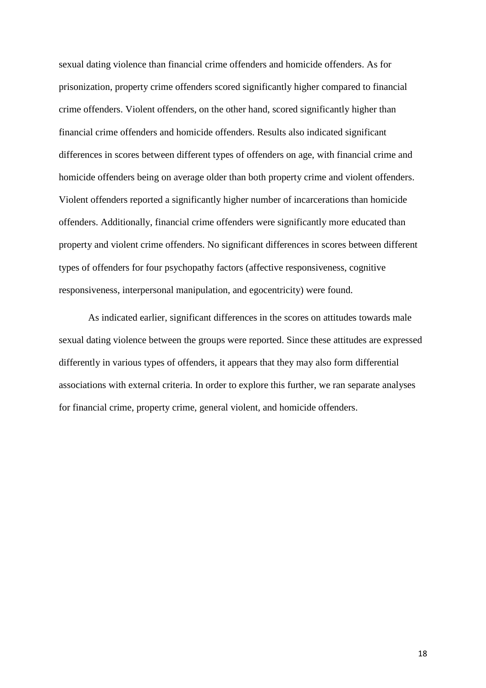sexual dating violence than financial crime offenders and homicide offenders. As for prisonization, property crime offenders scored significantly higher compared to financial crime offenders. Violent offenders, on the other hand, scored significantly higher than financial crime offenders and homicide offenders. Results also indicated significant differences in scores between different types of offenders on age, with financial crime and homicide offenders being on average older than both property crime and violent offenders. Violent offenders reported a significantly higher number of incarcerations than homicide offenders. Additionally, financial crime offenders were significantly more educated than property and violent crime offenders. No significant differences in scores between different types of offenders for four psychopathy factors (affective responsiveness, cognitive responsiveness, interpersonal manipulation, and egocentricity) were found.

As indicated earlier, significant differences in the scores on attitudes towards male sexual dating violence between the groups were reported. Since these attitudes are expressed differently in various types of offenders, it appears that they may also form differential associations with external criteria. In order to explore this further, we ran separate analyses for financial crime, property crime, general violent, and homicide offenders.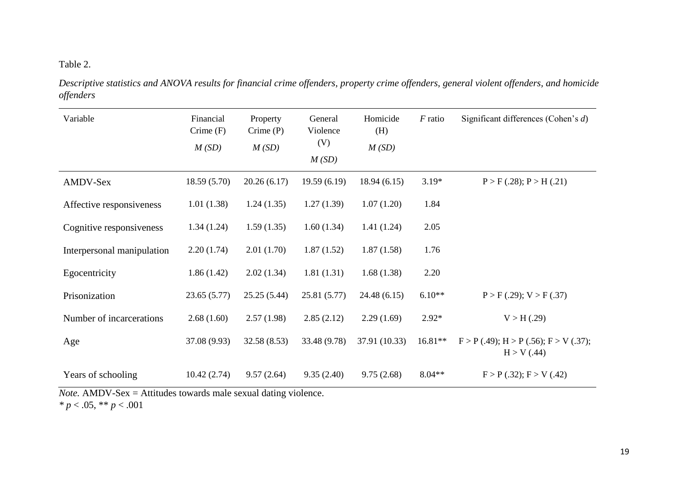# Table 2.

*Descriptive statistics and ANOVA results for financial crime offenders, property crime offenders, general violent offenders, and homicide offenders*

| Variable                   | Financial<br>$C$ rime $(F)$<br>M(SD) | Property<br>$C$ rime $(P)$<br>M(SD) | General<br>Violence<br>(V)<br>M(SD) | Homicide<br>(H)<br>M(SD) | $F$ ratio | Significant differences (Cohen's $d$ )            |
|----------------------------|--------------------------------------|-------------------------------------|-------------------------------------|--------------------------|-----------|---------------------------------------------------|
| AMDV-Sex                   | 18.59(5.70)                          | 20.26(6.17)                         | 19.59(6.19)                         | 18.94(6.15)              | $3.19*$   | P > F(.28); P > H(.21)                            |
| Affective responsiveness   | 1.01(1.38)                           | 1.24(1.35)                          | 1.27(1.39)                          | 1.07(1.20)               | 1.84      |                                                   |
| Cognitive responsiveness   | 1.34(1.24)                           | 1.59(1.35)                          | 1.60(1.34)                          | 1.41(1.24)               | 2.05      |                                                   |
| Interpersonal manipulation | 2.20(1.74)                           | 2.01(1.70)                          | 1.87(1.52)                          | 1.87(1.58)               | 1.76      |                                                   |
| Egocentricity              | 1.86(1.42)                           | 2.02(1.34)                          | 1.81(1.31)                          | 1.68(1.38)               | 2.20      |                                                   |
| Prisonization              | 23.65(5.77)                          | 25.25(5.44)                         | 25.81 (5.77)                        | 24.48(6.15)              | $6.10**$  | P > F(.29); V > F(.37)                            |
| Number of incarcerations   | 2.68(1.60)                           | 2.57(1.98)                          | 2.85(2.12)                          | 2.29(1.69)               | $2.92*$   | V > H(.29)                                        |
| Age                        | 37.08 (9.93)                         | 32.58(8.53)                         | 33.48 (9.78)                        | 37.91 (10.33)            | $16.81**$ | F > P(.49); H > P(.56); F > V(.37);<br>H > V(.44) |
| Years of schooling         | 10.42(2.74)                          | 9.57(2.64)                          | 9.35(2.40)                          | 9.75(2.68)               | $8.04**$  | F > P(.32); F > V(.42)                            |

*Note.* AMDV-Sex = Attitudes towards male sexual dating violence. *\* p* < .05, \*\* *p* < .001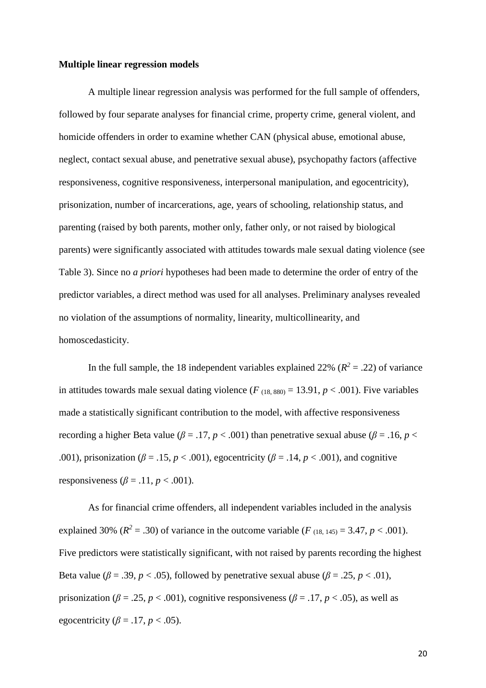#### **Multiple linear regression models**

A multiple linear regression analysis was performed for the full sample of offenders, followed by four separate analyses for financial crime, property crime, general violent, and homicide offenders in order to examine whether CAN (physical abuse, emotional abuse, neglect, contact sexual abuse, and penetrative sexual abuse), psychopathy factors (affective responsiveness, cognitive responsiveness, interpersonal manipulation, and egocentricity), prisonization, number of incarcerations, age, years of schooling, relationship status, and parenting (raised by both parents, mother only, father only, or not raised by biological parents) were significantly associated with attitudes towards male sexual dating violence (see Table 3). Since no *a priori* hypotheses had been made to determine the order of entry of the predictor variables, a direct method was used for all analyses. Preliminary analyses revealed no violation of the assumptions of normality, linearity, multicollinearity, and homoscedasticity.

In the full sample, the 18 independent variables explained 22% ( $R^2 = .22$ ) of variance in attitudes towards male sexual dating violence  $(F_{(18, 880)} = 13.91, p < .001)$ . Five variables made a statistically significant contribution to the model, with affective responsiveness recording a higher Beta value ( $\beta$  = .17,  $p$  < .001) than penetrative sexual abuse ( $\beta$  = .16,  $p$  < .001), prisonization ( $\beta = .15$ ,  $p < .001$ ), egocentricity ( $\beta = .14$ ,  $p < .001$ ), and cognitive responsiveness ( $\beta$  = .11, *p* < .001).

As for financial crime offenders, all independent variables included in the analysis explained 30% ( $R^2 = .30$ ) of variance in the outcome variable ( $F_{(18, 145)} = 3.47, p < .001$ ). Five predictors were statistically significant, with not raised by parents recording the highest Beta value ( $\beta = .39$ ,  $p < .05$ ), followed by penetrative sexual abuse ( $\beta = .25$ ,  $p < .01$ ), prisonization ( $\beta$  = .25,  $p$  < .001), cognitive responsiveness ( $\beta$  = .17,  $p$  < .05), as well as egocentricity ( $\beta$  = .17,  $p$  < .05).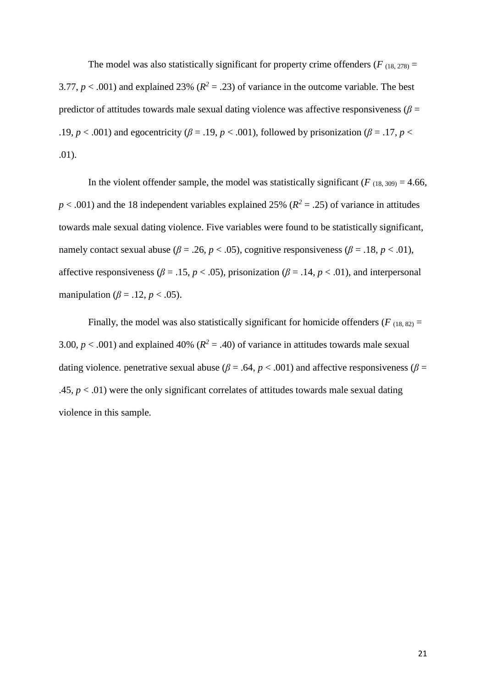The model was also statistically significant for property crime offenders ( $F_{(18, 278)}$  = 3.77,  $p < .001$ ) and explained 23% ( $R^2 = .23$ ) of variance in the outcome variable. The best predictor of attitudes towards male sexual dating violence was affective responsiveness ( $\beta$  = .19, *p* < .001) and egocentricity ( $\beta$  = .19, *p* < .001), followed by prisonization ( $\beta$  = .17, *p* < .01).

In the violent offender sample, the model was statistically significant ( $F_{(18, 309)} = 4.66$ ,  $p < .001$ ) and the 18 independent variables explained 25% ( $R<sup>2</sup> = .25$ ) of variance in attitudes towards male sexual dating violence. Five variables were found to be statistically significant, namely contact sexual abuse ( $\beta$  = .26,  $p$  < .05), cognitive responsiveness ( $\beta$  = .18,  $p$  < .01), affective responsiveness ( $\beta$  = .15,  $p$  < .05), prisonization ( $\beta$  = .14,  $p$  < .01), and interpersonal manipulation ( $\beta$  = .12,  $p$  < .05).

Finally, the model was also statistically significant for homicide offenders ( $F_{(18, 82)}$  = 3.00,  $p < .001$ ) and explained 40% ( $R<sup>2</sup> = .40$ ) of variance in attitudes towards male sexual dating violence. penetrative sexual abuse ( $\beta$  = .64,  $p$  < .001) and affective responsiveness ( $\beta$  = .45,  $p < .01$ ) were the only significant correlates of attitudes towards male sexual dating violence in this sample.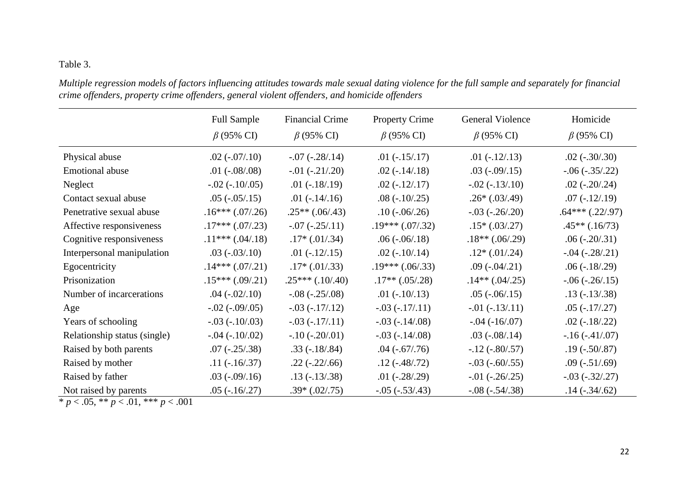# Table 3.

| Multiple regression models of factors influencing attitudes towards male sexual dating violence for the full sample and separately for financial |
|--------------------------------------------------------------------------------------------------------------------------------------------------|
| crime offenders, property crime offenders, general violent offenders, and homicide offenders                                                     |

|                              | <b>Full Sample</b><br>$\beta$ (95% CI) | <b>Financial Crime</b><br>$\beta$ (95% CI) | <b>Property Crime</b><br>$\beta$ (95% CI) | <b>General Violence</b><br>$\beta$ (95% CI) | Homicide<br>$\beta$ (95% CI) |
|------------------------------|----------------------------------------|--------------------------------------------|-------------------------------------------|---------------------------------------------|------------------------------|
| Physical abuse               | $.02$ ( $-.07/0.10$ )                  | $-.07 (-.28/.14)$                          | $.01 (-.15/.17)$                          | $.01 (-.12/.13)$                            | $.02$ ( $-.30/0.30$ )        |
| <b>Emotional abuse</b>       | $.01 (-.08/0.08)$                      | $-0.01 (-0.21/0.20)$                       | $.02$ ( $-.14/0.18$ )                     | $.03$ ( $-.09/0.15$ )                       | $-.06 (-0.35/0.22)$          |
| Neglect                      | $-.02 (-10/05)$                        | $.01 (-.18/.19)$                           | $.02(-.12/.17)$                           | $-.02 (-13/10)$                             | $.02$ ( $-.20/0.24$ )        |
| Contact sexual abuse         | $.05$ ( $-.05/0.15$ )                  | $.01$ ( $-.14/0.16$ )                      | $.08(-.10/0.25)$                          | $.26*(.03/.49)$                             | $.07(-.12/.19)$              |
| Penetrative sexual abuse     | $.16***(.07/.26)$                      | $.25**(.06/.43)$                           | $.10$ ( $-.06/0.26$ )                     | $-.03 (-0.26)/0.20)$                        | $.64***(.22/.97)$            |
| Affective responsiveness     | $.17***(.07/.23)$                      | $-.07 (-.25/.11)$                          | $.19***(.07/.32)$                         | $.15*(.03/.27)$                             | $.45**(.16/73)$              |
| Cognitive responsiveness     | $.11***(.04/.18)$                      | $.17*(.01/.34)$                            | $.06(-06/0.18)$                           | $.18**(.06/.29)$                            | $.06 (-.20/.31)$             |
| Interpersonal manipulation   | $.03(-03/0.10)$                        | $.01 (-12/15)$                             | $.02$ ( $-.10/0.14$ )                     | $.12*(.01/.24)$                             | $-.04 (-.28/.21)$            |
| Egocentricity                | $.14***(.07/.21)$                      | $.17*(.01/.33)$                            | $.19***(.06/.33)$                         | $.09$ ( $-.04/0.21$ )                       | $.06(-.18/.29)$              |
| Prisonization                | $.15***(.09/.21)$                      | $.25***(.10/.40)$                          | $.17**(.05/.28)$                          | $.14**(.04/.25)$                            | $-.06 (-.26/0.15)$           |
| Number of incarcerations     | $.04 (-02/010)$                        | $-.08 (-0.25/0.08)$                        | $.01 (-10/13)$                            | $.05$ ( $-.06/0.15$ )                       | $.13(-.13/.38)$              |
| Age                          | $-.02 (-0.09)(0.05)$                   | $-.03(-.17/.12)$                           | $-.03(-.17/.11)$                          | $-.01 (-13/11)$                             | $.05(-.17/.27)$              |
| Years of schooling           | $-.03 (-10/03)$                        | $-.03(-.17/.11)$                           | $-.03 (-14/08)$                           | $-.04 (-16/07)$                             | $.02$ ( $-.18/.22$ )         |
| Relationship status (single) | $-.04 (-10/02)$                        | $-.10(-.20/01)$                            | $-.03$ ( $-.14/08$ )                      | $.03$ ( $-.08/0.14$ )                       | $-.16(-.41/.07)$             |
| Raised by both parents       | $.07(-.25/.38)$                        | $.33(-.18/0.84)$                           | $.04$ ( $-.67/0.76$ )                     | $-.12$ ( $-.80/.57$ )                       | $.19(-.50/.87)$              |
| Raised by mother             | $.11(-.16/0.37)$                       | $.22(-.22/0.66)$                           | $.12$ ( $-.48/.72$ )                      | $-.03$ ( $-.60/.55$ )                       | $.09$ ( $-.51/0.69$ )        |
| Raised by father             | $.03$ ( $-.09/0.16$ )                  | $.13(-.13/.38)$                            | $.01 (-.28/.29)$                          | $-.01 (-.26/0.25)$                          | $-.03 (-32/0.27)$            |
| Not raised by parents        | $.05$ ( $-.16/0.27$ )                  | $.39*(.02/.75)$                            | $-.05 (-.53/.43)$                         | $-.08 (-.54/.38)$                           | $.14$ ( $-.34$ / $.62$ )     |

 $\frac{100 \text{ times of } p \text{ planes}}{p \cdot 0.05, \cdot p \cdot 0.01, \cdot p \cdot 0.001}$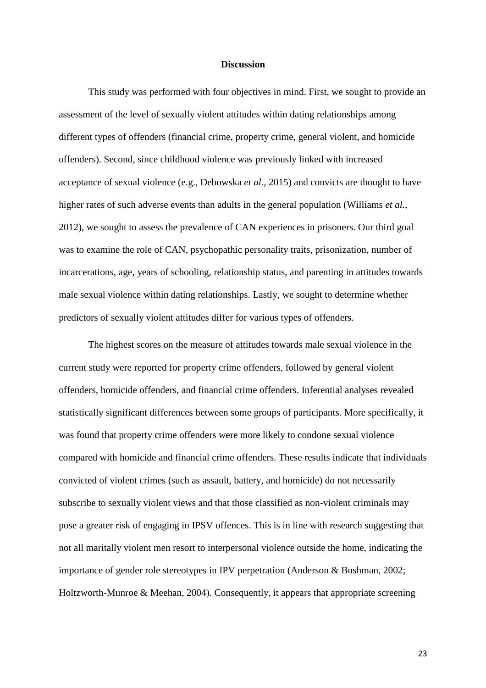#### **Discussion**

This study was performed with four objectives in mind. First, we sought to provide an assessment of the level of sexually violent attitudes within dating relationships among different types of offenders (financial crime, property crime, general violent, and homicide offenders). Second, since childhood violence was previously linked with increased acceptance of sexual violence (e.g., Debowska *et al*., 2015) and convicts are thought to have higher rates of such adverse events than adults in the general population (Williams *et al.*, 2012), we sought to assess the prevalence of CAN experiences in prisoners. Our third goal was to examine the role of CAN, psychopathic personality traits, prisonization, number of incarcerations, age, years of schooling, relationship status, and parenting in attitudes towards male sexual violence within dating relationships. Lastly, we sought to determine whether predictors of sexually violent attitudes differ for various types of offenders.

The highest scores on the measure of attitudes towards male sexual violence in the current study were reported for property crime offenders, followed by general violent offenders, homicide offenders, and financial crime offenders. Inferential analyses revealed statistically significant differences between some groups of participants. More specifically, it was found that property crime offenders were more likely to condone sexual violence compared with homicide and financial crime offenders. These results indicate that individuals convicted of violent crimes (such as assault, battery, and homicide) do not necessarily subscribe to sexually violent views and that those classified as non-violent criminals may pose a greater risk of engaging in IPSV offences. This is in line with research suggesting that not all maritally violent men resort to interpersonal violence outside the home, indicating the importance of gender role stereotypes in IPV perpetration (Anderson & Bushman, 2002; Holtzworth-Munroe & Meehan, 2004). Consequently, it appears that appropriate screening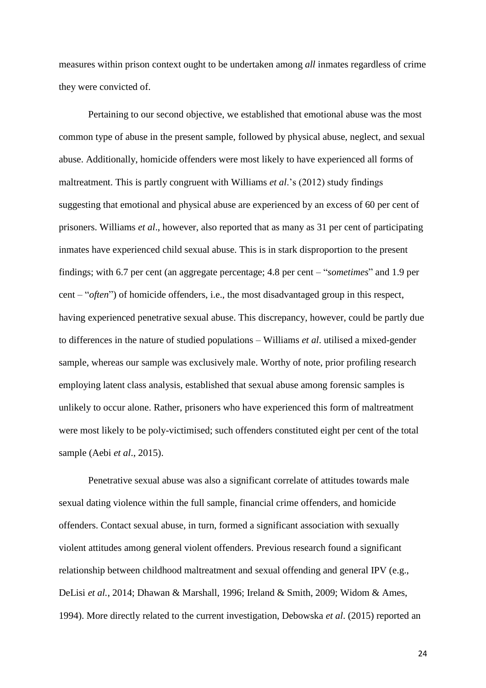measures within prison context ought to be undertaken among *all* inmates regardless of crime they were convicted of.

Pertaining to our second objective, we established that emotional abuse was the most common type of abuse in the present sample, followed by physical abuse, neglect, and sexual abuse. Additionally, homicide offenders were most likely to have experienced all forms of maltreatment. This is partly congruent with Williams *et al*.'s (2012) study findings suggesting that emotional and physical abuse are experienced by an excess of 60 per cent of prisoners. Williams *et al*., however, also reported that as many as 31 per cent of participating inmates have experienced child sexual abuse. This is in stark disproportion to the present findings; with 6.7 per cent (an aggregate percentage; 4.8 per cent – "*sometimes*" and 1.9 per cent – "*often*") of homicide offenders, i.e., the most disadvantaged group in this respect, having experienced penetrative sexual abuse. This discrepancy, however, could be partly due to differences in the nature of studied populations – Williams *et al*. utilised a mixed-gender sample, whereas our sample was exclusively male. Worthy of note, prior profiling research employing latent class analysis, established that sexual abuse among forensic samples is unlikely to occur alone. Rather, prisoners who have experienced this form of maltreatment were most likely to be poly-victimised; such offenders constituted eight per cent of the total sample (Aebi *et al*., 2015).

Penetrative sexual abuse was also a significant correlate of attitudes towards male sexual dating violence within the full sample, financial crime offenders, and homicide offenders. Contact sexual abuse, in turn, formed a significant association with sexually violent attitudes among general violent offenders. Previous research found a significant relationship between childhood maltreatment and sexual offending and general IPV (e.g., DeLisi *et al.*, 2014; Dhawan & Marshall, 1996; Ireland & Smith, 2009; Widom & Ames, 1994). More directly related to the current investigation, Debowska *et al*. (2015) reported an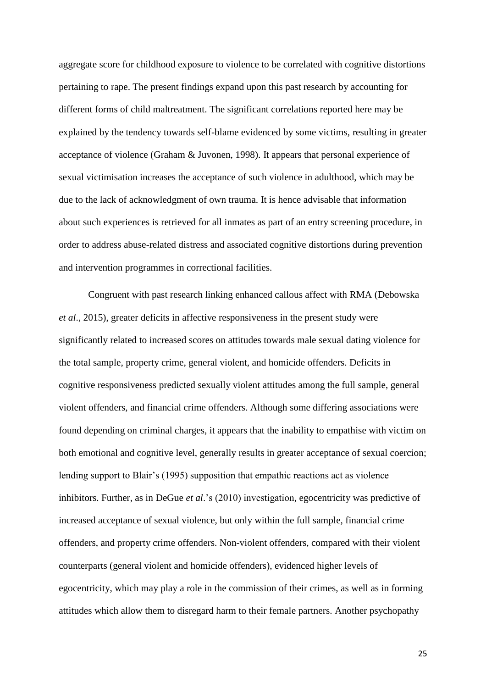aggregate score for childhood exposure to violence to be correlated with cognitive distortions pertaining to rape. The present findings expand upon this past research by accounting for different forms of child maltreatment. The significant correlations reported here may be explained by the tendency towards self-blame evidenced by some victims, resulting in greater acceptance of violence (Graham & Juvonen, 1998). It appears that personal experience of sexual victimisation increases the acceptance of such violence in adulthood, which may be due to the lack of acknowledgment of own trauma. It is hence advisable that information about such experiences is retrieved for all inmates as part of an entry screening procedure, in order to address abuse-related distress and associated cognitive distortions during prevention and intervention programmes in correctional facilities.

Congruent with past research linking enhanced callous affect with RMA (Debowska *et al*., 2015), greater deficits in affective responsiveness in the present study were significantly related to increased scores on attitudes towards male sexual dating violence for the total sample, property crime, general violent, and homicide offenders. Deficits in cognitive responsiveness predicted sexually violent attitudes among the full sample, general violent offenders, and financial crime offenders. Although some differing associations were found depending on criminal charges, it appears that the inability to empathise with victim on both emotional and cognitive level, generally results in greater acceptance of sexual coercion; lending support to Blair's (1995) supposition that empathic reactions act as violence inhibitors. Further, as in DeGue *et al*.'s (2010) investigation, egocentricity was predictive of increased acceptance of sexual violence, but only within the full sample, financial crime offenders, and property crime offenders. Non-violent offenders, compared with their violent counterparts (general violent and homicide offenders), evidenced higher levels of egocentricity, which may play a role in the commission of their crimes, as well as in forming attitudes which allow them to disregard harm to their female partners. Another psychopathy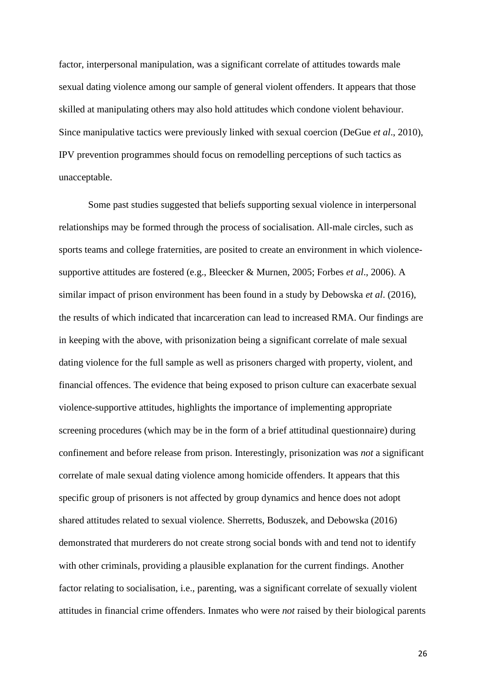factor, interpersonal manipulation, was a significant correlate of attitudes towards male sexual dating violence among our sample of general violent offenders. It appears that those skilled at manipulating others may also hold attitudes which condone violent behaviour. Since manipulative tactics were previously linked with sexual coercion (DeGue *et al*., 2010), IPV prevention programmes should focus on remodelling perceptions of such tactics as unacceptable.

Some past studies suggested that beliefs supporting sexual violence in interpersonal relationships may be formed through the process of socialisation. All-male circles, such as sports teams and college fraternities, are posited to create an environment in which violencesupportive attitudes are fostered (e.g., Bleecker & Murnen, 2005; Forbes *et al*., 2006). A similar impact of prison environment has been found in a study by Debowska *et al*. (2016), the results of which indicated that incarceration can lead to increased RMA. Our findings are in keeping with the above, with prisonization being a significant correlate of male sexual dating violence for the full sample as well as prisoners charged with property, violent, and financial offences. The evidence that being exposed to prison culture can exacerbate sexual violence-supportive attitudes, highlights the importance of implementing appropriate screening procedures (which may be in the form of a brief attitudinal questionnaire) during confinement and before release from prison. Interestingly, prisonization was *not* a significant correlate of male sexual dating violence among homicide offenders. It appears that this specific group of prisoners is not affected by group dynamics and hence does not adopt shared attitudes related to sexual violence. Sherretts, Boduszek, and Debowska (2016) demonstrated that murderers do not create strong social bonds with and tend not to identify with other criminals, providing a plausible explanation for the current findings. Another factor relating to socialisation, i.e., parenting, was a significant correlate of sexually violent attitudes in financial crime offenders. Inmates who were *not* raised by their biological parents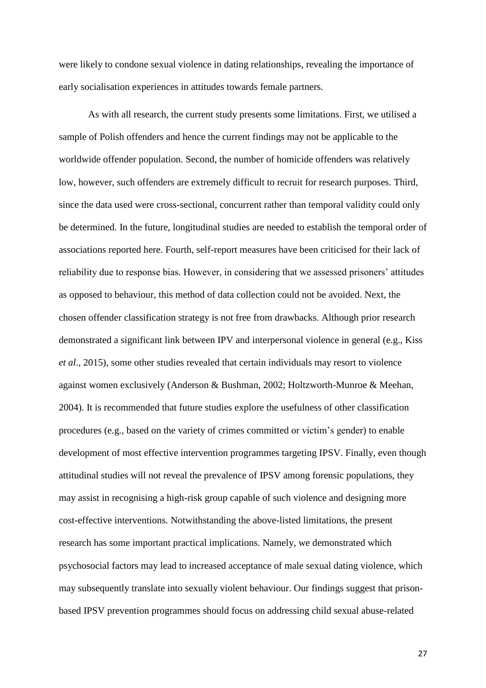were likely to condone sexual violence in dating relationships, revealing the importance of early socialisation experiences in attitudes towards female partners.

As with all research, the current study presents some limitations. First, we utilised a sample of Polish offenders and hence the current findings may not be applicable to the worldwide offender population. Second, the number of homicide offenders was relatively low, however, such offenders are extremely difficult to recruit for research purposes. Third, since the data used were cross-sectional, concurrent rather than temporal validity could only be determined. In the future, longitudinal studies are needed to establish the temporal order of associations reported here. Fourth, self-report measures have been criticised for their lack of reliability due to response bias. However, in considering that we assessed prisoners' attitudes as opposed to behaviour, this method of data collection could not be avoided. Next, the chosen offender classification strategy is not free from drawbacks. Although prior research demonstrated a significant link between IPV and interpersonal violence in general (e.g., Kiss *et al*., 2015), some other studies revealed that certain individuals may resort to violence against women exclusively (Anderson & Bushman, 2002; Holtzworth-Munroe & Meehan, 2004). It is recommended that future studies explore the usefulness of other classification procedures (e.g., based on the variety of crimes committed or victim's gender) to enable development of most effective intervention programmes targeting IPSV. Finally, even though attitudinal studies will not reveal the prevalence of IPSV among forensic populations, they may assist in recognising a high-risk group capable of such violence and designing more cost-effective interventions. Notwithstanding the above-listed limitations, the present research has some important practical implications. Namely, we demonstrated which psychosocial factors may lead to increased acceptance of male sexual dating violence, which may subsequently translate into sexually violent behaviour. Our findings suggest that prisonbased IPSV prevention programmes should focus on addressing child sexual abuse-related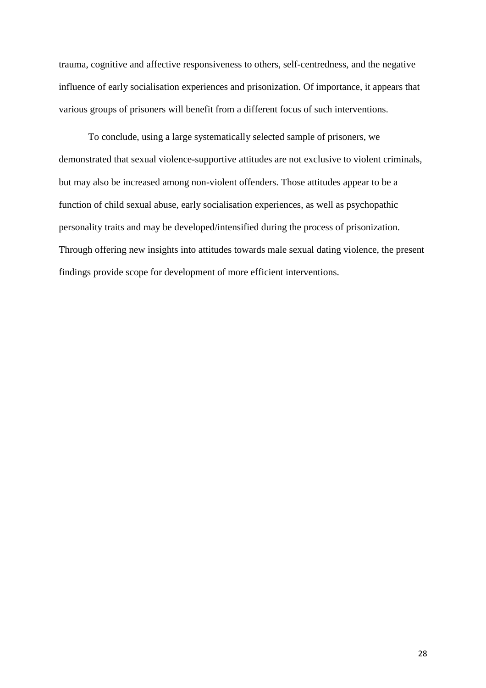trauma, cognitive and affective responsiveness to others, self-centredness, and the negative influence of early socialisation experiences and prisonization. Of importance, it appears that various groups of prisoners will benefit from a different focus of such interventions.

To conclude, using a large systematically selected sample of prisoners, we demonstrated that sexual violence-supportive attitudes are not exclusive to violent criminals, but may also be increased among non-violent offenders. Those attitudes appear to be a function of child sexual abuse, early socialisation experiences, as well as psychopathic personality traits and may be developed/intensified during the process of prisonization. Through offering new insights into attitudes towards male sexual dating violence, the present findings provide scope for development of more efficient interventions.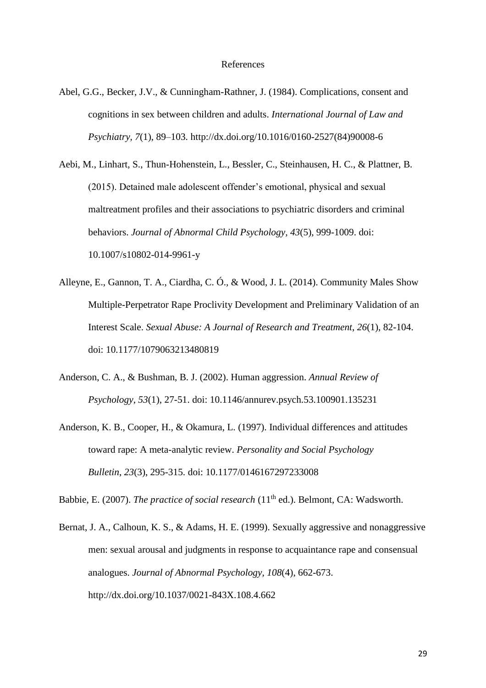- Abel, G.G., Becker, J.V., & Cunningham-Rathner, J. (1984). Complications, consent and cognitions in sex between children and adults. *International Journal of Law and Psychiatry, 7*(1), 89–103. http://dx.doi.org/10.1016/0160-2527(84)90008-6
- Aebi, M., Linhart, S., Thun-Hohenstein, L., Bessler, C., Steinhausen, H. C., & Plattner, B. (2015). Detained male adolescent offender's emotional, physical and sexual maltreatment profiles and their associations to psychiatric disorders and criminal behaviors. *Journal of Abnormal Child Psychology, 43*(5), 999-1009. doi: 10.1007/s10802-014-9961-y
- Alleyne, E., Gannon, T. A., Ciardha, C. Ó., & Wood, J. L. (2014). Community Males Show Multiple-Perpetrator Rape Proclivity Development and Preliminary Validation of an Interest Scale. *Sexual Abuse: A Journal of Research and Treatment*, *26*(1), 82-104. doi: 10.1177/1079063213480819
- Anderson, C. A., & Bushman, B. J. (2002). Human aggression. *Annual Review of Psychology*, *53*(1), 27-51. doi: 10.1146/annurev.psych.53.100901.135231
- Anderson, K. B., Cooper, H., & Okamura, L. (1997). Individual differences and attitudes toward rape: A meta-analytic review. *Personality and Social Psychology Bulletin*, *23*(3), 295-315. doi: 10.1177/0146167297233008

Babbie, E. (2007). *The practice of social research* (11<sup>th</sup> ed.). Belmont, CA: Wadsworth.

Bernat, J. A., Calhoun, K. S., & Adams, H. E. (1999). Sexually aggressive and nonaggressive men: sexual arousal and judgments in response to acquaintance rape and consensual analogues. *Journal of Abnormal Psychology*, *108*(4), 662-673. http://dx.doi.org/10.1037/0021-843X.108.4.662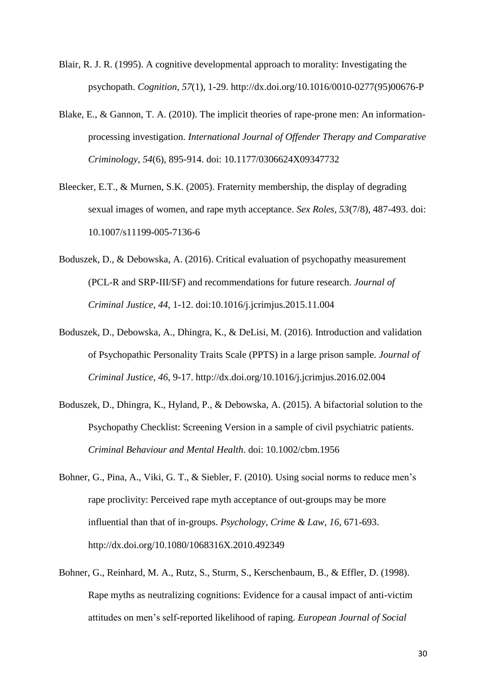- Blair, R. J. R. (1995). A cognitive developmental approach to morality: Investigating the psychopath. *Cognition*, *57*(1), 1-29. http://dx.doi.org/10.1016/0010-0277(95)00676-P
- Blake, E., & Gannon, T. A. (2010). The implicit theories of rape-prone men: An informationprocessing investigation. *International Journal of Offender Therapy and Comparative Criminology*, *54*(6), 895-914. doi: 10.1177/0306624X09347732
- Bleecker, E.T., & Murnen, S.K. (2005). Fraternity membership, the display of degrading sexual images of women, and rape myth acceptance. *Sex Roles, 53*(7/8), 487-493. doi: 10.1007/s11199-005-7136-6
- Boduszek, D., & Debowska, A. (2016). Critical evaluation of psychopathy measurement (PCL-R and SRP-III/SF) and recommendations for future research. *Journal of Criminal Justice*, *44*, 1-12. doi:10.1016/j.jcrimjus.2015.11.004
- Boduszek, D., Debowska, A., Dhingra, K., & DeLisi, M. (2016). Introduction and validation of Psychopathic Personality Traits Scale (PPTS) in a large prison sample. *Journal of Criminal Justice*, *46*, 9-17. http://dx.doi.org/10.1016/j.jcrimjus.2016.02.004
- Boduszek, D., Dhingra, K., Hyland, P., & Debowska, A. (2015). A bifactorial solution to the Psychopathy Checklist: Screening Version in a sample of civil psychiatric patients. *Criminal Behaviour and Mental Health*. doi: 10.1002/cbm.1956
- Bohner, G., Pina, A., Viki, G. T., & Siebler, F. (2010). Using social norms to reduce men's rape proclivity: Perceived rape myth acceptance of out-groups may be more influential than that of in-groups. *Psychology, Crime & Law*, *16*, 671-693. http://dx.doi.org/10.1080/1068316X.2010.492349
- Bohner, G., Reinhard, M. A., Rutz, S., Sturm, S., Kerschenbaum, B., & Effler, D. (1998). Rape myths as neutralizing cognitions: Evidence for a causal impact of anti-victim attitudes on men's self-reported likelihood of raping. *European Journal of Social*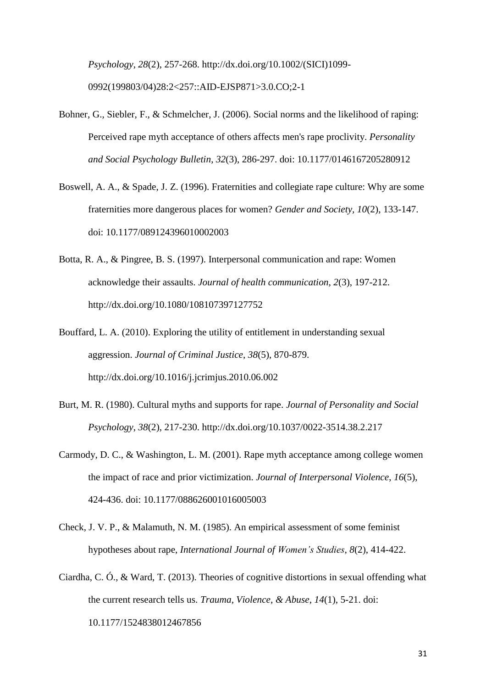*Psychology*, *28*(2), 257-268. http://dx.doi.org/10.1002/(SICI)1099- 0992(199803/04)28:2<257::AID-EJSP871>3.0.CO;2-1

- Bohner, G., Siebler, F., & Schmelcher, J. (2006). Social norms and the likelihood of raping: Perceived rape myth acceptance of others affects men's rape proclivity. *Personality and Social Psychology Bulletin*, *32*(3), 286-297. doi: 10.1177/0146167205280912
- Boswell, A. A., & Spade, J. Z. (1996). Fraternities and collegiate rape culture: Why are some fraternities more dangerous places for women? *Gender and Society, 10*(2), 133-147. doi: 10.1177/089124396010002003
- Botta, R. A., & Pingree, B. S. (1997). Interpersonal communication and rape: Women acknowledge their assaults. *Journal of health communication*, *2*(3), 197-212. http://dx.doi.org/10.1080/108107397127752
- Bouffard, L. A. (2010). Exploring the utility of entitlement in understanding sexual aggression. *Journal of Criminal Justice*, *38*(5), 870-879. http://dx.doi.org/10.1016/j.jcrimjus.2010.06.002
- Burt, M. R. (1980). Cultural myths and supports for rape. *Journal of Personality and Social Psychology*, *38*(2), 217-230. http://dx.doi.org/10.1037/0022-3514.38.2.217
- Carmody, D. C., & Washington, L. M. (2001). Rape myth acceptance among college women the impact of race and prior victimization. *Journal of Interpersonal Violence*, *16*(5), 424-436. doi: 10.1177/088626001016005003
- Check, J. V. P., & Malamuth, N. M. (1985). An empirical assessment of some feminist hypotheses about rape, *International Journal of Women's Studies*, *8*(2), 414-422.
- Ciardha, C. Ó., & Ward, T. (2013). Theories of cognitive distortions in sexual offending what the current research tells us. *Trauma, Violence, & Abuse*, *14*(1), 5-21. doi: 10.1177/1524838012467856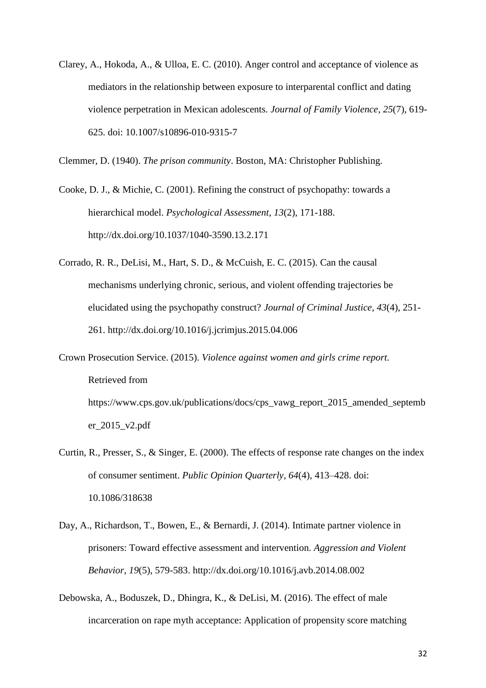Clarey, A., Hokoda, A., & Ulloa, E. C. (2010). Anger control and acceptance of violence as mediators in the relationship between exposure to interparental conflict and dating violence perpetration in Mexican adolescents. *Journal of Family Violence*, *25*(7), 619- 625. doi: 10.1007/s10896-010-9315-7

Clemmer, D. (1940). *The prison community*. Boston, MA: Christopher Publishing.

Cooke, D. J., & Michie, C. (2001). Refining the construct of psychopathy: towards a hierarchical model. *Psychological Assessment*, *13*(2), 171-188. http://dx.doi.org/10.1037/1040-3590.13.2.171

- Corrado, R. R., DeLisi, M., Hart, S. D., & McCuish, E. C. (2015). Can the causal mechanisms underlying chronic, serious, and violent offending trajectories be elucidated using the psychopathy construct? *Journal of Criminal Justice, 43*(4), 251- 261. http://dx.doi.org/10.1016/j.jcrimjus.2015.04.006
- Crown Prosecution Service. (2015). *Violence against women and girls crime report.* Retrieved from https://www.cps.gov.uk/publications/docs/cps\_vawg\_report\_2015\_amended\_septemb er\_2015\_v2.pdf
- Curtin, R., Presser, S., & Singer, E. (2000). The effects of response rate changes on the index of consumer sentiment. *Public Opinion Quarterly*, *64*(4), 413–428. doi: 10.1086/318638
- Day, A., Richardson, T., Bowen, E., & Bernardi, J. (2014). Intimate partner violence in prisoners: Toward effective assessment and intervention. *Aggression and Violent Behavior*, *19*(5), 579-583. http://dx.doi.org/10.1016/j.avb.2014.08.002
- Debowska, A., Boduszek, D., Dhingra, K., & DeLisi, M. (2016). The effect of male incarceration on rape myth acceptance: Application of propensity score matching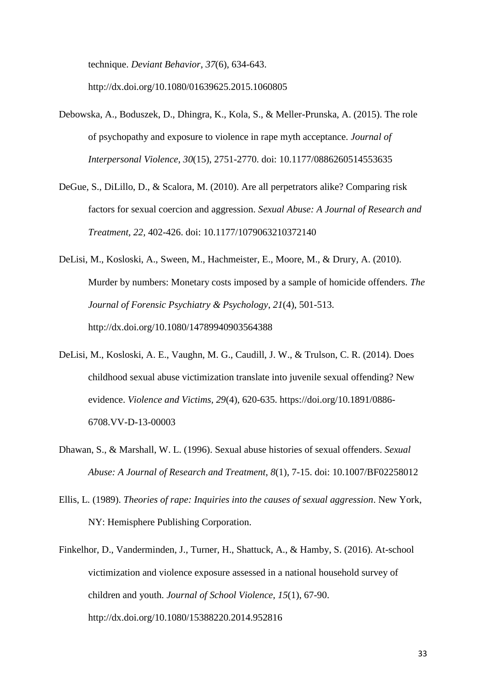technique. *Deviant Behavior*, *37*(6), 634-643.

http://dx.doi.org/10.1080/01639625.2015.1060805

- Debowska, A., Boduszek, D., Dhingra, K., Kola, S., & Meller-Prunska, A. (2015). The role of psychopathy and exposure to violence in rape myth acceptance. *Journal of Interpersonal Violence*, *30*(15), 2751-2770. doi: 10.1177/0886260514553635
- DeGue, S., DiLillo, D., & Scalora, M. (2010). Are all perpetrators alike? Comparing risk factors for sexual coercion and aggression. *Sexual Abuse: A Journal of Research and Treatment, 22,* 402-426. doi: 10.1177/1079063210372140
- DeLisi, M., Kosloski, A., Sween, M., Hachmeister, E., Moore, M., & Drury, A. (2010). Murder by numbers: Monetary costs imposed by a sample of homicide offenders. *The Journal of Forensic Psychiatry & Psychology*, *21*(4), 501-513. http://dx.doi.org/10.1080/14789940903564388
- DeLisi, M., Kosloski, A. E., Vaughn, M. G., Caudill, J. W., & Trulson, C. R. (2014). Does childhood sexual abuse victimization translate into juvenile sexual offending? New evidence. *Violence and Victims, 29*(4), 620-635. https://doi.org/10.1891/0886- 6708.VV-D-13-00003
- Dhawan, S., & Marshall, W. L. (1996). Sexual abuse histories of sexual offenders. *Sexual Abuse: A Journal of Research and Treatment*, *8*(1), 7-15. doi: 10.1007/BF02258012
- Ellis, L. (1989). *Theories of rape: Inquiries into the causes of sexual aggression*. New York, NY: Hemisphere Publishing Corporation.
- Finkelhor, D., Vanderminden, J., Turner, H., Shattuck, A., & Hamby, S. (2016). At-school victimization and violence exposure assessed in a national household survey of children and youth. *Journal of School Violence*, *15*(1), 67-90. http://dx.doi.org/10.1080/15388220.2014.952816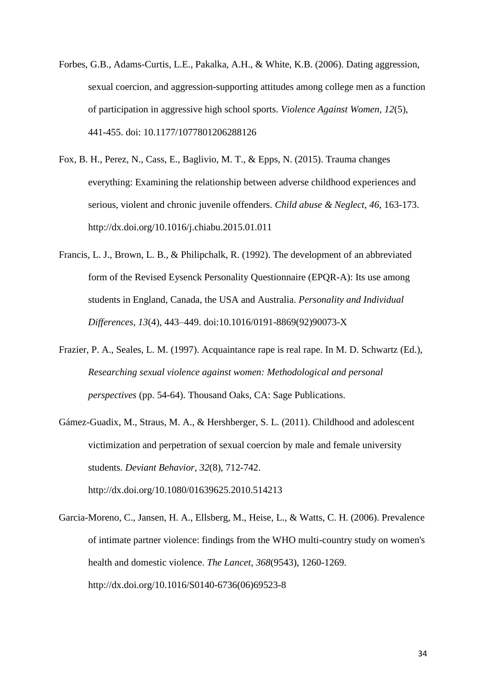- Forbes, G.B., Adams-Curtis, L.E., Pakalka, A.H., & White, K.B. (2006). Dating aggression, sexual coercion, and aggression-supporting attitudes among college men as a function of participation in aggressive high school sports. *Violence Against Women, 12*(5), 441-455. doi: 10.1177/1077801206288126
- Fox, B. H., Perez, N., Cass, E., Baglivio, M. T., & Epps, N. (2015). Trauma changes everything: Examining the relationship between adverse childhood experiences and serious, violent and chronic juvenile offenders. *Child abuse & Neglect*, *46*, 163-173. http://dx.doi.org/10.1016/j.chiabu.2015.01.011
- Francis, L. J., Brown, L. B., & Philipchalk, R. (1992). The development of an abbreviated form of the Revised Eysenck Personality Questionnaire (EPQR-A): Its use among students in England, Canada, the USA and Australia. *Personality and Individual Differences, 13*(4), 443–449. doi:10.1016/0191-8869(92)90073-X
- Frazier, P. A., Seales, L. M. (1997). Acquaintance rape is real rape. In M. D. Schwartz (Ed.), *Researching sexual violence against women: Methodological and personal perspectives* (pp. 54-64). Thousand Oaks, CA: Sage Publications.
- Gámez-Guadix, M., Straus, M. A., & Hershberger, S. L. (2011). Childhood and adolescent victimization and perpetration of sexual coercion by male and female university students. *Deviant Behavior*, *32*(8), 712-742. http://dx.doi.org/10.1080/01639625.2010.514213
- Garcia-Moreno, C., Jansen, H. A., Ellsberg, M., Heise, L., & Watts, C. H. (2006). Prevalence of intimate partner violence: findings from the WHO multi-country study on women's health and domestic violence. *The Lancet*, *368*(9543), 1260-1269. http://dx.doi.org/10.1016/S0140-6736(06)69523-8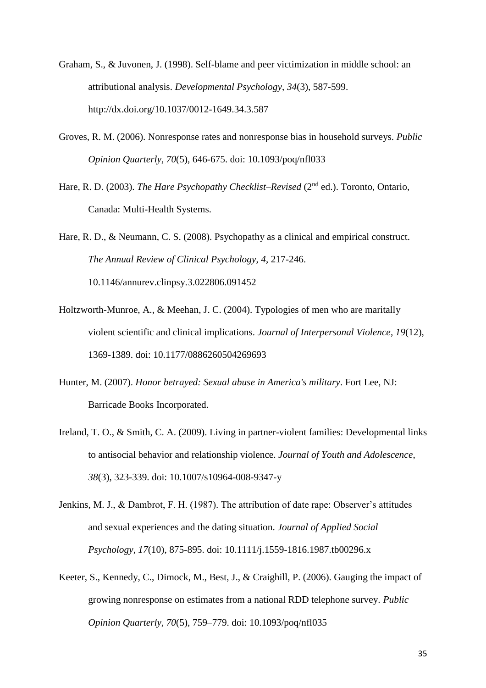- Graham, S., & Juvonen, J. (1998). Self-blame and peer victimization in middle school: an attributional analysis. *Developmental Psychology*, *34*(3), 587-599. http://dx.doi.org/10.1037/0012-1649.34.3.587
- Groves, R. M. (2006). Nonresponse rates and nonresponse bias in household surveys. *Public Opinion Quarterly*, *70*(5), 646-675. doi: 10.1093/poq/nfl033
- Hare, R. D. (2003). *The Hare Psychopathy Checklist–Revised* (2<sup>nd</sup> ed.). Toronto, Ontario, Canada: Multi-Health Systems.

Hare, R. D., & Neumann, C. S. (2008). Psychopathy as a clinical and empirical construct. *The Annual Review of Clinical Psychology*, *4*, 217-246. 10.1146/annurev.clinpsy.3.022806.091452

- Holtzworth-Munroe, A., & Meehan, J. C. (2004). Typologies of men who are maritally violent scientific and clinical implications. *Journal of Interpersonal Violence*, *19*(12), 1369-1389. doi: 10.1177/0886260504269693
- Hunter, M. (2007). *Honor betrayed: Sexual abuse in America's military*. Fort Lee, NJ: Barricade Books Incorporated.
- Ireland, T. O., & Smith, C. A. (2009). Living in partner-violent families: Developmental links to antisocial behavior and relationship violence. *Journal of Youth and Adolescence*, *38*(3), 323-339. doi: 10.1007/s10964-008-9347-y
- Jenkins, M. J., & Dambrot, F. H. (1987). The attribution of date rape: Observer's attitudes and sexual experiences and the dating situation. *Journal of Applied Social Psychology*, *17*(10), 875-895. doi: 10.1111/j.1559-1816.1987.tb00296.x
- Keeter, S., Kennedy, C., Dimock, M., Best, J., & Craighill, P. (2006). Gauging the impact of growing nonresponse on estimates from a national RDD telephone survey. *Public Opinion Quarterly, 70*(5), 759–779. doi: 10.1093/poq/nfl035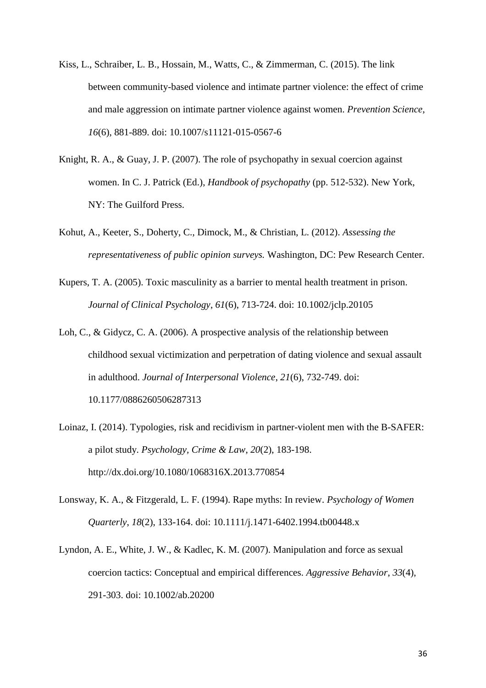- Kiss, L., Schraiber, L. B., Hossain, M., Watts, C., & Zimmerman, C. (2015). The link between community-based violence and intimate partner violence: the effect of crime and male aggression on intimate partner violence against women. *Prevention Science*, *16*(6), 881-889. doi: 10.1007/s11121-015-0567-6
- Knight, R. A., & Guay, J. P. (2007). The role of psychopathy in sexual coercion against women. In C. J. Patrick (Ed.), *Handbook of psychopathy* (pp. 512-532). New York, NY: The Guilford Press.
- Kohut, A., Keeter, S., Doherty, C., Dimock, M., & Christian, L. (2012). *Assessing the representativeness of public opinion surveys.* Washington, DC: Pew Research Center.
- Kupers, T. A. (2005). Toxic masculinity as a barrier to mental health treatment in prison. *Journal of Clinical Psychology*, *61*(6), 713-724. doi: 10.1002/jclp.20105
- Loh, C., & Gidycz, C. A. (2006). A prospective analysis of the relationship between childhood sexual victimization and perpetration of dating violence and sexual assault in adulthood. *Journal of Interpersonal Violence*, *21*(6), 732-749. doi: 10.1177/0886260506287313
- Loinaz, I. (2014). Typologies, risk and recidivism in partner-violent men with the B-SAFER: a pilot study. *Psychology, Crime & Law*, *20*(2), 183-198. http://dx.doi.org/10.1080/1068316X.2013.770854
- Lonsway, K. A., & Fitzgerald, L. F. (1994). Rape myths: In review. *Psychology of Women Quarterly*, *18*(2), 133-164. doi: 10.1111/j.1471-6402.1994.tb00448.x
- Lyndon, A. E., White, J. W., & Kadlec, K. M. (2007). Manipulation and force as sexual coercion tactics: Conceptual and empirical differences. *Aggressive Behavior*, *33*(4), 291-303. doi: 10.1002/ab.20200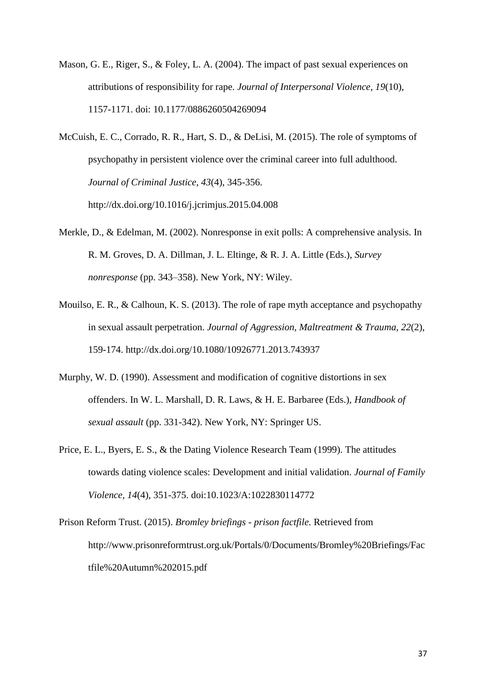- Mason, G. E., Riger, S., & Foley, L. A. (2004). The impact of past sexual experiences on attributions of responsibility for rape. *Journal of Interpersonal Violence*, *19*(10), 1157-1171. doi: 10.1177/0886260504269094
- McCuish, E. C., Corrado, R. R., Hart, S. D., & DeLisi, M. (2015). The role of symptoms of psychopathy in persistent violence over the criminal career into full adulthood. *Journal of Criminal Justice*, *43*(4), 345-356. http://dx.doi.org/10.1016/j.jcrimjus.2015.04.008
- Merkle, D., & Edelman, M. (2002). Nonresponse in exit polls: A comprehensive analysis. In R. M. Groves, D. A. Dillman, J. L. Eltinge, & R. J. A. Little (Eds.), *Survey nonresponse* (pp. 343–358). New York, NY: Wiley.
- Mouilso, E. R., & Calhoun, K. S. (2013). The role of rape myth acceptance and psychopathy in sexual assault perpetration. *Journal of Aggression, Maltreatment & Trauma*, *22*(2), 159-174. http://dx.doi.org/10.1080/10926771.2013.743937
- Murphy, W. D. (1990). Assessment and modification of cognitive distortions in sex offenders. In W. L. Marshall, D. R. Laws, & H. E. Barbaree (Eds.), *Handbook of sexual assault* (pp. 331-342). New York, NY: Springer US.
- Price, E. L., Byers, E. S., & the Dating Violence Research Team (1999). The attitudes towards dating violence scales: Development and initial validation. *Journal of Family Violence, 14*(4), 351-375. doi:10.1023/A:1022830114772

Prison Reform Trust. (2015). *Bromley briefings - prison factfile.* Retrieved from http://www.prisonreformtrust.org.uk/Portals/0/Documents/Bromley%20Briefings/Fac tfile%20Autumn%202015.pdf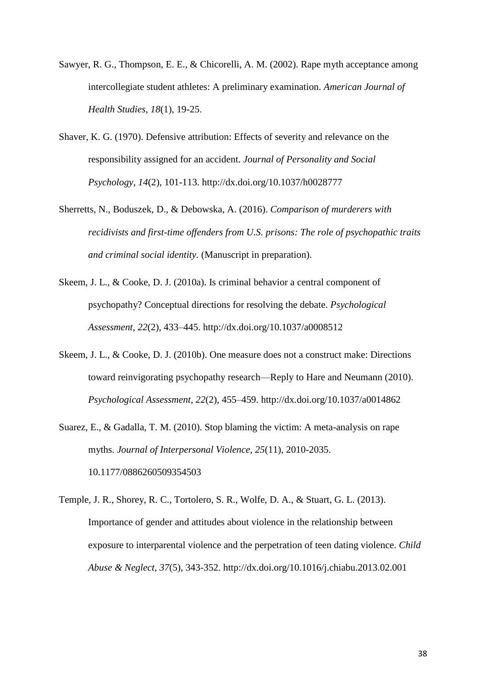- Sawyer, R. G., Thompson, E. E., & Chicorelli, A. M. (2002). Rape myth acceptance among intercollegiate student athletes: A preliminary examination. *American Journal of Health Studies*, *18*(1), 19-25.
- Shaver, K. G. (1970). Defensive attribution: Effects of severity and relevance on the responsibility assigned for an accident. *Journal of Personality and Social Psychology*, *14*(2), 101-113. http://dx.doi.org/10.1037/h0028777
- Sherretts, N., Boduszek, D., & Debowska, A. (2016). *Comparison of murderers with recidivists and first-time offenders from U.S. prisons: The role of psychopathic traits and criminal social identity.* (Manuscript in preparation).
- Skeem, J. L., & Cooke, D. J. (2010a). Is criminal behavior a central component of psychopathy? Conceptual directions for resolving the debate. *Psychological Assessment, 22*(2), 433–445. http://dx.doi.org/10.1037/a0008512
- Skeem, J. L., & Cooke, D. J. (2010b). One measure does not a construct make: Directions toward reinvigorating psychopathy research—Reply to Hare and Neumann (2010). *Psychological Assessment, 22*(2), 455–459. http://dx.doi.org/10.1037/a0014862
- Suarez, E., & Gadalla, T. M. (2010). Stop blaming the victim: A meta-analysis on rape myths. *Journal of Interpersonal Violence*, *25*(11), 2010-2035. 10.1177/0886260509354503
- Temple, J. R., Shorey, R. C., Tortolero, S. R., Wolfe, D. A., & Stuart, G. L. (2013). Importance of gender and attitudes about violence in the relationship between exposure to interparental violence and the perpetration of teen dating violence. *Child Abuse & Neglect*, *37*(5), 343-352. http://dx.doi.org/10.1016/j.chiabu.2013.02.001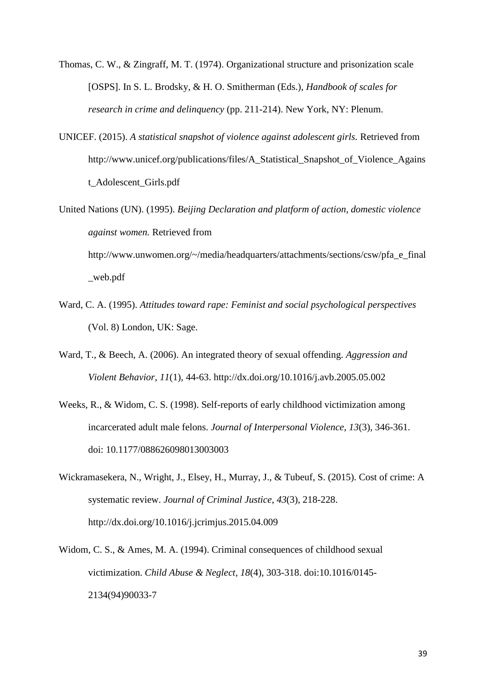- Thomas, C. W., & Zingraff, M. T. (1974). Organizational structure and prisonization scale [OSPS]. In S. L. Brodsky, & H. O. Smitherman (Eds.), *Handbook of scales for research in crime and delinquency* (pp. 211-214). New York, NY: Plenum.
- UNICEF. (2015). *A statistical snapshot of violence against adolescent girls.* Retrieved from http://www.unicef.org/publications/files/A\_Statistical\_Snapshot\_of\_Violence\_Agains t\_Adolescent\_Girls.pdf
- United Nations (UN). (1995). *Beijing Declaration and platform of action, domestic violence against women.* Retrieved from http://www.unwomen.org/~/media/headquarters/attachments/sections/csw/pfa\_e\_final

\_web.pdf

- Ward, C. A. (1995). *Attitudes toward rape: Feminist and social psychological perspectives* (Vol. 8) London, UK: Sage.
- Ward, T., & Beech, A. (2006). An integrated theory of sexual offending. *Aggression and Violent Behavior*, *11*(1), 44-63. http://dx.doi.org/10.1016/j.avb.2005.05.002
- Weeks, R., & Widom, C. S. (1998). Self-reports of early childhood victimization among incarcerated adult male felons. *Journal of Interpersonal Violence*, *13*(3), 346-361. doi: 10.1177/088626098013003003
- Wickramasekera, N., Wright, J., Elsey, H., Murray, J., & Tubeuf, S. (2015). Cost of crime: A systematic review. *Journal of Criminal Justice*, *43*(3), 218-228. http://dx.doi.org/10.1016/j.jcrimjus.2015.04.009
- Widom, C. S., & Ames, M. A. (1994). Criminal consequences of childhood sexual victimization. *Child Abuse & Neglect*, *18*(4), 303-318. doi:10.1016/0145- 2134(94)90033-7